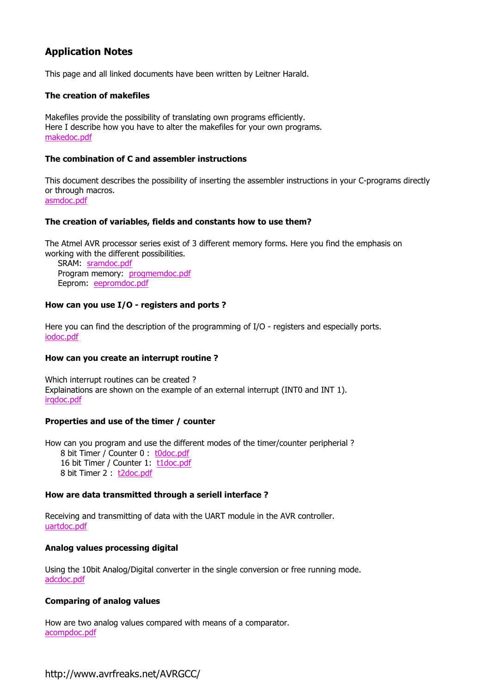#### **Application Notes**

This page and all linked documents have been written by Leitner Harald.

#### The creation of makefiles

Makefiles provide the possibility of translating own programs efficiently. Here I describe how you have to alter the makefiles for your own programs. makedoc.pdf

#### The combination of C and assembler instructions

This document describes the possibility of inserting the assembler instructions in your C-programs directly or through macros. asmdoc.pdf

#### The creation of variables, fields and constants how to use them?

The Atmel AVR processor series exist of 3 different memory forms. Here you find the emphasis on working with the different possibilities.

SRAM: sramdoc.pdf Program memory: progmemdoc.pdf Eeprom: eepromdoc.pdf

#### How can you use I/O - registers and ports?

Here you can find the description of the programming of I/O - registers and especially ports. iodoc.pdf

#### How can you create an interrupt routine?

Which interrupt routines can be created? Explainations are shown on the example of an external interrupt (INTO and INT 1). irgdoc.pdf

#### Properties and use of the timer / counter

How can you program and use the different modes of the timer/counter peripherial? 8 bit Timer / Counter 0: t0doc.pdf 16 bit Timer / Counter 1: t1doc.pdf 8 bit Timer 2: t2doc.pdf

#### How are data transmitted through a seriell interface?

Receiving and transmitting of data with the UART module in the AVR controller. uartdoc.pdf

#### Analog values processing digital

Using the 10bit Analog/Digital converter in the single conversion or free running mode. adcdoc.pdf

#### **Comparing of analog values**

How are two analog values compared with means of a comparator. acompdoc.pdf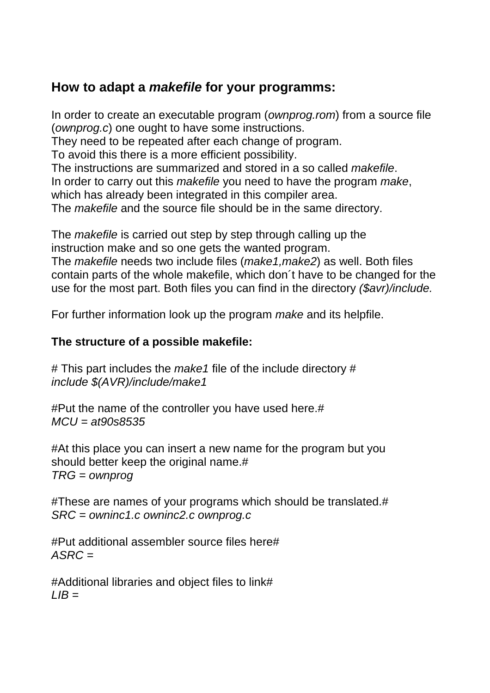# **How to adapt a makefile for your programms:**

In order to create an executable program (ownprog.rom) from a source file (ownprog.c) one ought to have some instructions. They need to be repeated after each change of program. To avoid this there is a more efficient possibility. The instructions are summarized and stored in a so called makefile. In order to carry out this *makefile* you need to have the program *make*, which has already been integrated in this compiler area. The *makefile* and the source file should be in the same directory.

The *makefile* is carried out step by step through calling up the instruction make and so one gets the wanted program. The *makefile* needs two include files (*make1,make2*) as well. Both files contain parts of the whole makefile, which don´t have to be changed for the use for the most part. Both files you can find in the directory (\$avr)/include.

For further information look up the program *make* and its helpfile.

### **The structure of a possible makefile:**

# This part includes the *make1* file of the include directory # include \$(AVR)/include/make1

#Put the name of the controller you have used here.#  $MCU = \frac{at90}{88535}$ 

#At this place you can insert a new name for the program but you should better keep the original name.# TRG = ownprog

#These are names of your programs which should be translated.# SRC = owninc1.c owninc2.c ownprog.c

#Put additional assembler source files here#  $ASRC =$ 

#Additional libraries and object files to link#  $LB =$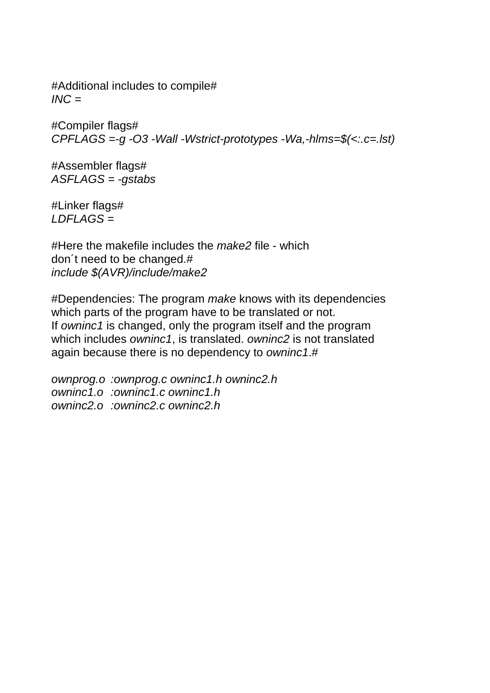#Additional includes to compile#  $INC =$ 

#Compiler flags# CPFLAGS =-g -O3 -Wall -Wstrict-prototypes -Wa,-hlms=\$(<:.c=.lst)

#Assembler flags#  $ASFLAGS = -gstabs$ 

#Linker flags#  $LDFLAGS =$ 

#Here the makefile includes the *make2* file - which don´t need to be changed.# include \$(AVR)/include/make2

#Dependencies: The program *make* knows with its dependencies which parts of the program have to be translated or not. If owninc1 is changed, only the program itself and the program which includes owninc1, is translated. owninc2 is not translated again because there is no dependency to owninc1.#

ownprog.o :ownprog.c owninc1.h owninc2.h owninc1.o :owninc1.c owninc1.h owninc2.o :owninc2.c owninc2.h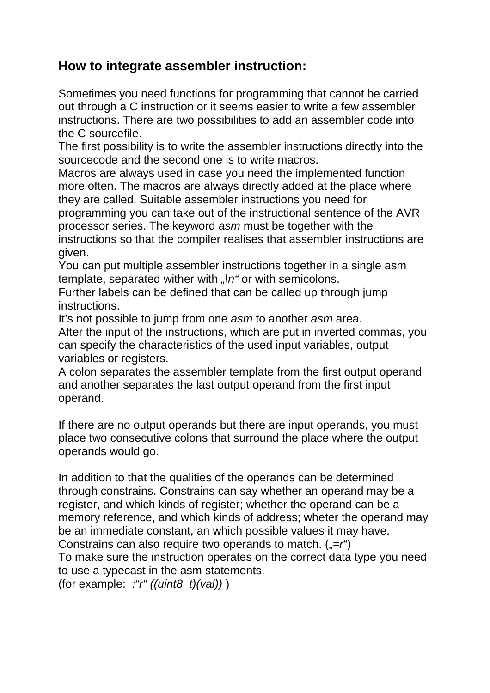# **How to integrate assembler instruction:**

Sometimes you need functions for programming that cannot be carried out through a C instruction or it seems easier to write a few assembler instructions. There are two possibilities to add an assembler code into the C sourcefile.

The first possibility is to write the assembler instructions directly into the sourcecode and the second one is to write macros.

Macros are always used in case you need the implemented function more often. The macros are always directly added at the place where they are called. Suitable assembler instructions you need for

programming you can take out of the instructional sentence of the AVR processor series. The keyword asm must be together with the

instructions so that the compiler realises that assembler instructions are given.

You can put multiple assembler instructions together in a single asm template, separated wither with " $\ln$ " or with semicolons.

Further labels can be defined that can be called up through jump instructions.

It's not possible to jump from one *asm* to another *asm* area.

After the input of the instructions, which are put in inverted commas, you can specify the characteristics of the used input variables, output variables or registers.

A colon separates the assembler template from the first output operand and another separates the last output operand from the first input operand.

If there are no output operands but there are input operands, you must place two consecutive colons that surround the place where the output operands would go.

In addition to that the qualities of the operands can be determined through constrains. Constrains can say whether an operand may be a register, and which kinds of register; whether the operand can be a memory reference, and which kinds of address; wheter the operand may be an immediate constant, an which possible values it may have. Constrains can also require two operands to match.  $($  $=$  $t$ " $)$ To make sure the instruction operates on the correct data type you need to use a typecast in the asm statements.

(for example:  $: "r"$  ((uint8\_t)(val)))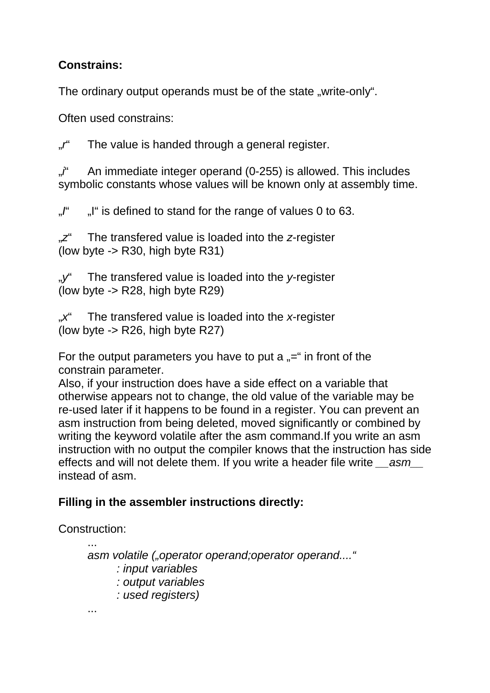## **Constrains:**

The ordinary output operands must be of the state "write-only".

Often used constrains:

 $\mathbf{r}$ " The value is handed through a general register.

 $\mathbf{u}$ " An immediate integer operand (0-255) is allowed. This includes symbolic constants whose values will be known only at assembly time.

 $\mathcal{J}$ "  $\mathcal{J}$ " is defined to stand for the range of values 0 to 63.

 $Z^{\prime}$  The transfered value is loaded into the z-register (low byte  $\rightarrow$  R30, high byte R31)

 $\mathbf{y}^{\mu}$  The transfered value is loaded into the y-register (low byte  $\rightarrow$  R28, high byte R29)

 $x^2$  The transfered value is loaded into the x-register (low byte  $\rightarrow$  R26, high byte R27)

For the output parameters you have to put  $a =$  in front of the constrain parameter.

Also, if your instruction does have a side effect on a variable that otherwise appears not to change, the old value of the variable may be re-used later if it happens to be found in a register. You can prevent an asm instruction from being deleted, moved significantly or combined by writing the keyword volatile after the asm command.If you write an asm instruction with no output the compiler knows that the instruction has side effects and will not delete them. If you write a header file write \_\_asm\_\_ instead of asm.

# **Filling in the assembler instructions directly:**

Construction:

...

... asm volatile ("operator operand; operator operand...." : input variables : output variables : used registers)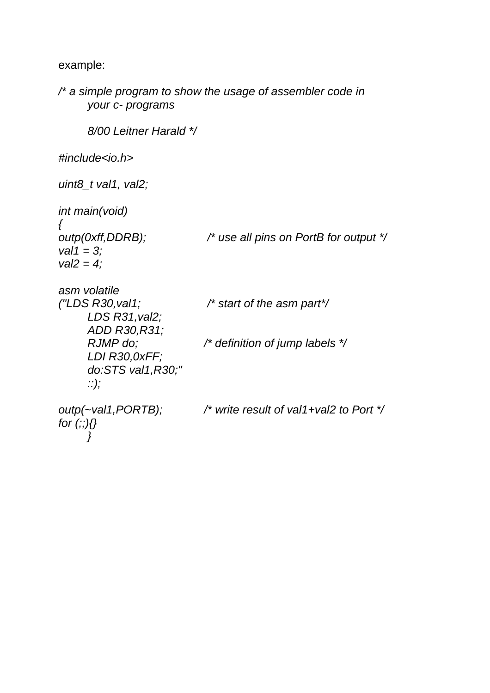example:

```
/* a simple program to show the usage of assembler code in
     your c- programs
     8/00 Leitner Harald */
#include<io.h>
uint8 t val1, val2;
int main(void)
{<br>outp(0xff,DDRB);
                      \prime^* use all pins on PortB for output \prime\primeval1 = 3;val2 = 4;asm volatile
("LDS R30,val1; /* start of the asm part*/
     LDS R31,val2;
     ADD R30,R31;
     RJMP do; \frac{1}{2} /* definition of jump labels */
     LDI R30,0xFF;
     do:STS val1,R30;"
     ::);
outp(~val1,PORTB); /* write result of val1+val2 to Port */
for (;;)\{}
      }
```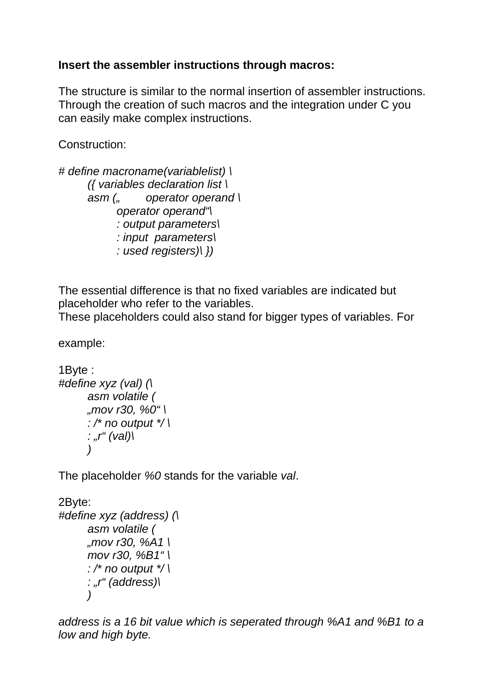### **Insert the assembler instructions through macros:**

The structure is similar to the normal insertion of assembler instructions. Through the creation of such macros and the integration under C you can easily make complex instructions.

Construction:

```
# define macroname(variablelist) \
      ({ variables declaration list \
      asm \left(, operator operand \right)operator operand"\
            : output parameters\
            : input parameters\
            : used registers)\ })
```
The essential difference is that no fixed variables are indicated but placeholder who refer to the variables.

These placeholders could also stand for bigger types of variables. For

example:

```
1Byte :
#define xyz (val) (\
        asm volatile (
        ., mov r30, %0^{\circ} \,
        : \frac{1}{2} no output \frac{1}{2}: "r" (val)\mathcal{N})
```
The placeholder %0 stands for the variable val.

```
2Byte:
#define xyz (address) (\
       asm volatile (
       ., mov r30, %A1 \
       mov r30, %B1" \
       : \frac{1}{2} no output \frac{*}{\sqrt{2}}: "r" (address)\lambda)
```
address is a 16 bit value which is seperated through %A1 and %B1 to a low and high byte.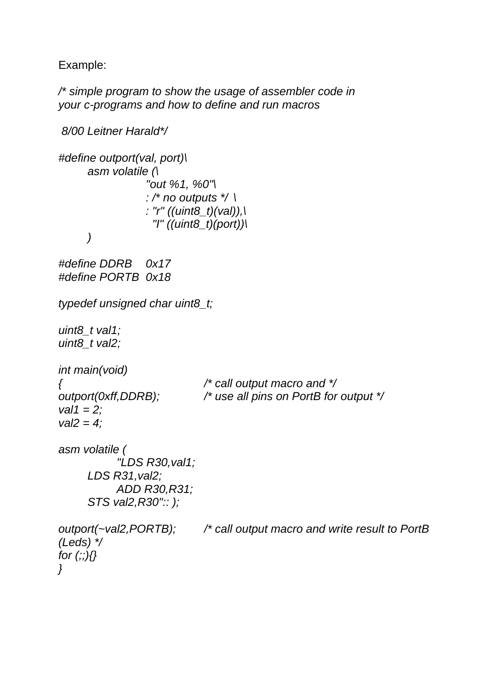Example:

/\* simple program to show the usage of assembler code in your c-programs and how to define and run macros

```
8/00 Leitner Harald*/
#define outport(val, port)\
     asm volatile (\
                 "out %1, %0"\
                 : /* no outputs */ \
                 : "r" ((uint8_t)(val)),\
                   "I" ((uint8_t)(port))\
     )
#define DDRB 0x17
#define PORTB 0x18
typedef unsigned char uint8_t;
uint8_t val1;
uint<sub>8</sub> t val<sub>2</sub>;
int main(void)
{ /* call output macro and */
outport(0xff,DDRB); /* use all pins on PortB for output */
val1 = 2;val2 = 4;
asm volatile (
            "LDS R30,val1;
     LDS R31,val2;
           ADD R30,R31;
      STS val2, R30":: );
outport(~val2,PORTB); /* call output macro and write result to PortB
(Leds) */
for \overline{f}; \overline{f}}
}
```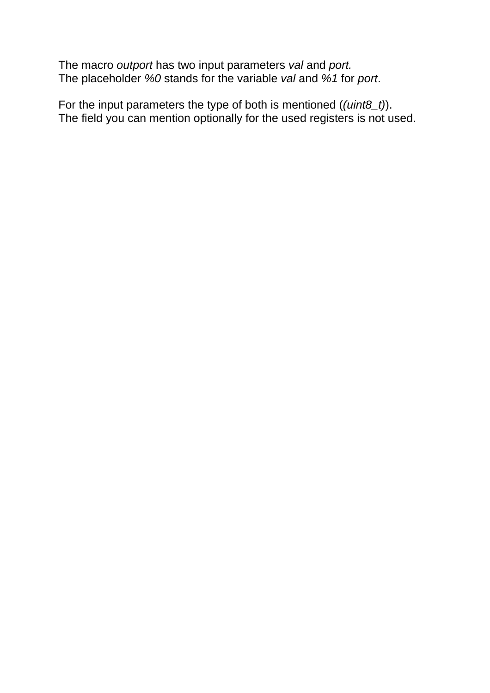The macro outport has two input parameters val and port. The placeholder %0 stands for the variable val and %1 for port.

For the input parameters the type of both is mentioned  $((uint8_t))$ . The field you can mention optionally for the used registers is not used.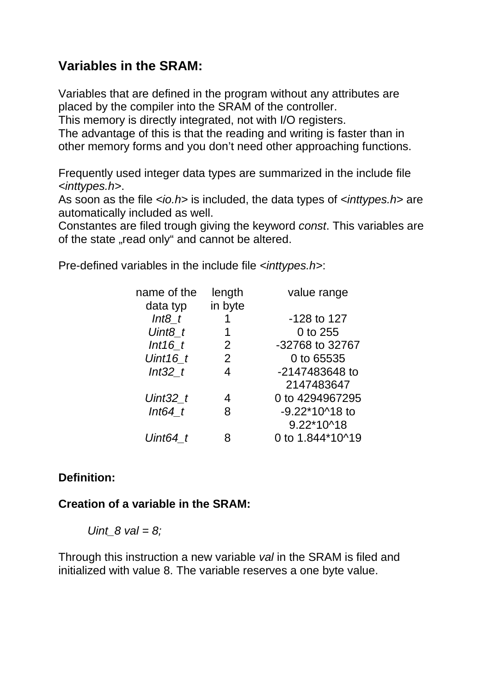# **Variables in the SRAM:**

Variables that are defined in the program without any attributes are placed by the compiler into the SRAM of the controller.

This memory is directly integrated, not with I/O registers.

The advantage of this is that the reading and writing is faster than in other memory forms and you don't need other approaching functions.

Frequently used integer data types are summarized in the include file <inttypes.h>.

As soon as the file  $\langle \cos n \rangle$  is included, the data types of  $\langle \sin n \rangle$  are automatically included as well.

Constantes are filed trough giving the keyword const. This variables are of the state ..read only" and cannot be altered.

Pre-defined variables in the include file  $\leq$  inttypes.h $\geq$ :

| name of the         | length         | value range      |
|---------------------|----------------|------------------|
| data typ            | in byte        |                  |
| $Int8$ t            |                | -128 to 127      |
| Uint <sub>8</sub> t |                | 0 to 255         |
| $Int16$ t           | 2              | -32768 to 32767  |
| Uint16 t            | $\overline{2}$ | 0 to 65535       |
| $Int32$ t           | 4              | -2147483648 to   |
|                     |                | 2147483647       |
| Uint32 t            | 4              | 0 to 4294967295  |
| $Int64$ t           | 8              | $-9.22*1018$ to  |
|                     |                | 9.22*10^18       |
| Uint64 t            |                | 0 to 1.844*10^19 |
|                     |                |                  |

### **Definition:**

#### **Creation of a variable in the SRAM:**

Uint  $8$  val = 8;

Through this instruction a new variable val in the SRAM is filed and initialized with value 8. The variable reserves a one byte value.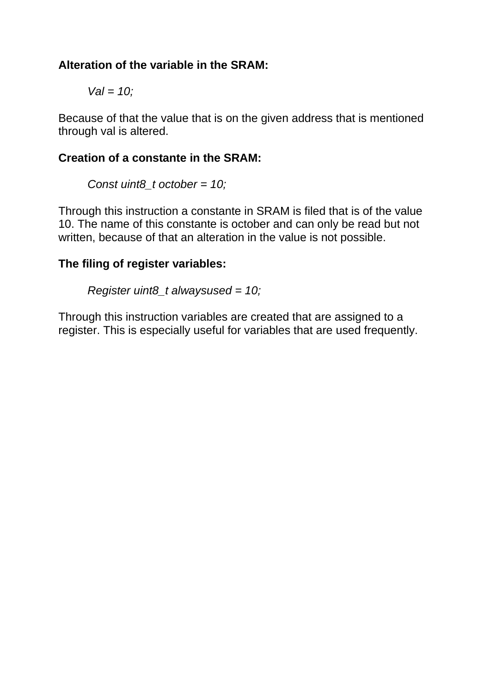## **Alteration of the variable in the SRAM:**

 $Val = 10$ ;

Because of that the value that is on the given address that is mentioned through val is altered.

## **Creation of a constante in the SRAM:**

Const uint8  $t$  october = 10;

Through this instruction a constante in SRAM is filed that is of the value 10. The name of this constante is october and can only be read but not written, because of that an alteration in the value is not possible.

## **The filing of register variables:**

Register uint8\_t alwaysused =  $10$ ;

Through this instruction variables are created that are assigned to a register. This is especially useful for variables that are used frequently.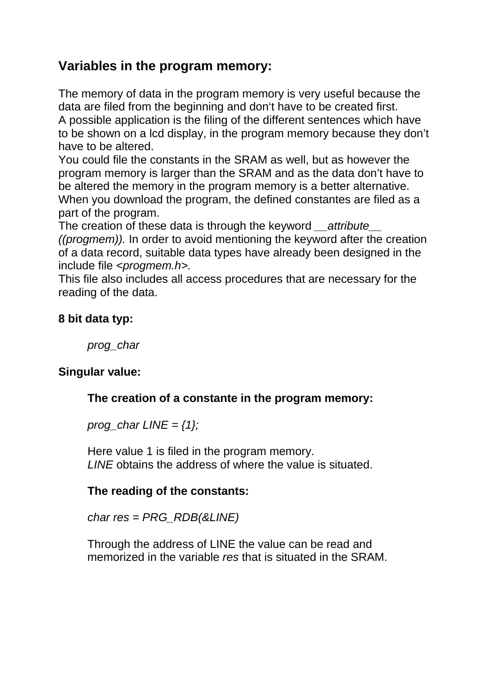# **Variables in the program memory:**

The memory of data in the program memory is very useful because the data are filed from the beginning and don't have to be created first. A possible application is the filing of the different sentences which have to be shown on a lcd display, in the program memory because they don't have to be altered.

You could file the constants in the SRAM as well, but as however the program memory is larger than the SRAM and as the data don't have to be altered the memory in the program memory is a better alternative. When you download the program, the defined constantes are filed as a part of the program.

The creation of these data is through the keyword *\_\_attribute* ((progmem)). In order to avoid mentioning the keyword after the creation of a data record, suitable data types have already been designed in the include file <progmem.h>.

This file also includes all access procedures that are necessary for the reading of the data.

### **8 bit data typ:**

prog\_char

### **Singular value:**

### **The creation of a constante in the program memory:**

prog\_char  $LINE = \{1\}$ ;

Here value 1 is filed in the program memory. LINE obtains the address of where the value is situated.

### **The reading of the constants:**

char res =  $PRG$  RDB(&LINE)

Through the address of LINE the value can be read and memorized in the variable res that is situated in the SRAM.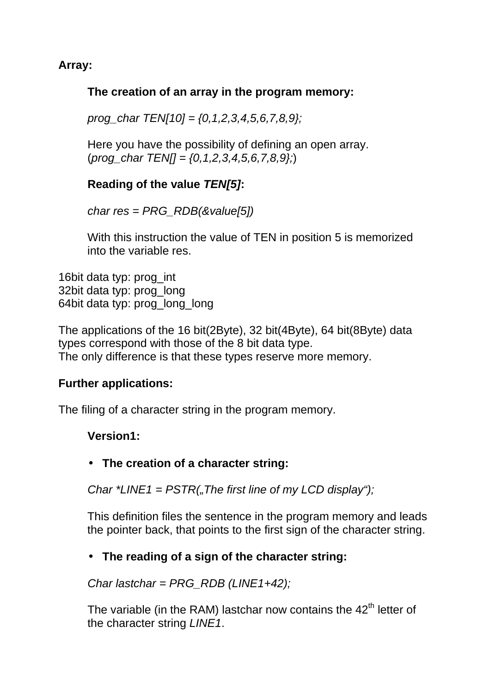**Array:**

## **The creation of an array in the program memory:**

prog\_char TEN[10] =  $\{0, 1, 2, 3, 4, 5, 6, 7, 8, 9\}$ ;

Here you have the possibility of defining an open array.  $(proq \text{ char TEN} = \{0, 1, 2, 3, 4, 5, 6, 7, 8, 9\})$ 

## **Reading of the value TEN[5]:**

char res =  $PRG$  RDB(&value[5])

With this instruction the value of TEN in position 5 is memorized into the variable res.

16bit data typ: prog\_int 32bit data typ: prog\_long 64bit data typ: prog\_long\_long

The applications of the 16 bit(2Byte), 32 bit(4Byte), 64 bit(8Byte) data types correspond with those of the 8 bit data type. The only difference is that these types reserve more memory.

### **Further applications:**

The filing of a character string in the program memory.

### **Version1:**

• **The creation of a character string:**

Char  $*$ LINE1 = PSTR(. The first line of my LCD display");

This definition files the sentence in the program memory and leads the pointer back, that points to the first sign of the character string.

## • **The reading of a sign of the character string:**

Char lastchar =  $PRG$  RDB (LINE1+42);

The variable (in the RAM) lastchar now contains the  $42^{\text{th}}$  letter of the character string LINE1.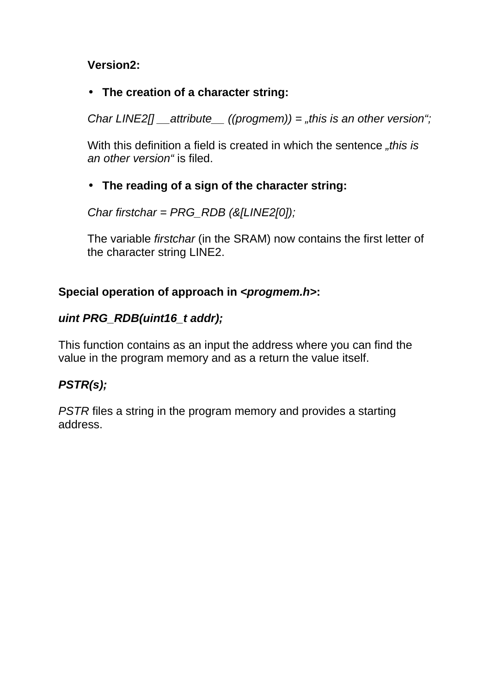## **Version2:**

## • **The creation of a character string:**

Char LINE2 $\begin{bmatrix} 1 & 2 \\ 0 & 2 \end{bmatrix}$  attribute  $((\text{programem})) = \text{...}$ this is an other version";

With this definition a field is created in which the sentence  $x$ this is an other version" is filed.

## • **The reading of a sign of the character string:**

Char firstchar = PRG\_RDB (&[LINE2[0]);

The variable firstchar (in the SRAM) now contains the first letter of the character string LINE2.

## **Special operation of approach in** *<progmem.h>***:**

# **uint PRG\_RDB(uint16\_t addr);**

This function contains as an input the address where you can find the value in the program memory and as a return the value itself.

# **PSTR(s);**

PSTR files a string in the program memory and provides a starting address.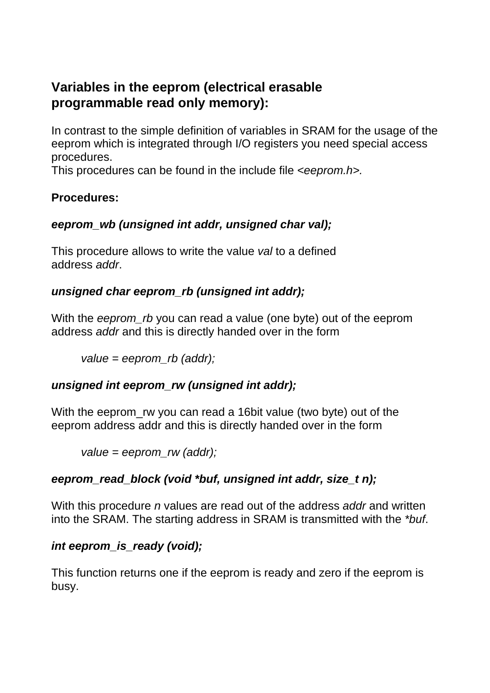# **Variables in the eeprom (electrical erasable programmable read only memory):**

In contrast to the simple definition of variables in SRAM for the usage of the eeprom which is integrated through I/O registers you need special access procedures.

This procedures can be found in the include file <eeprom.h>.

#### **Procedures:**

#### **eeprom\_wb (unsigned int addr, unsigned char val);**

This procedure allows to write the value val to a defined address addr.

#### **unsigned char eeprom\_rb (unsigned int addr);**

With the eeprom\_rb you can read a value (one byte) out of the eeprom address addr and this is directly handed over in the form

value = eeprom  $rb$  (addr);

#### **unsigned int eeprom\_rw (unsigned int addr);**

With the eeprom tw you can read a 16bit value (two byte) out of the eeprom address addr and this is directly handed over in the form

value = eeprom\_rw (addr);

### **eeprom\_read\_block (void \*buf, unsigned int addr, size\_t n);**

With this procedure *n* values are read out of the address addr and written into the SRAM. The starting address in SRAM is transmitted with the \*buf.

#### **int eeprom\_is\_ready (void);**

This function returns one if the eeprom is ready and zero if the eeprom is busy.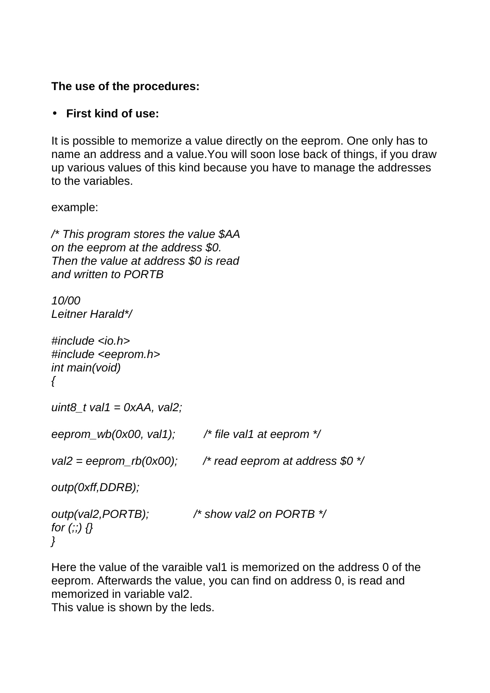#### **The use of the procedures:**

### • **First kind of use:**

It is possible to memorize a value directly on the eeprom. One only has to name an address and a value.You will soon lose back of things, if you draw up various values of this kind because you have to manage the addresses to the variables.

example:

```
/* This program stores the value $AA
on the eeprom at the address $0.
Then the value at address $0 is read
and written to PORTB
10/00
Leitner Harald*/
\#include \ltio.h >#include <eeprom.h>
int main(void)
\{uint8_t val1 = 0xAA, val2;
eeprom_wb(0x00, val1); /* file val1 at eeprom */
val2 = eeprom_rb(0x00); \rightarrow /* read eeprom at address $0 \prime/
outp(0xff,DDRB);
outp(val2, PORTB); \qquad /* show val2 on PORTB */
for (:) \{}
```
Here the value of the varaible val1 is memorized on the address 0 of the eeprom. Afterwards the value, you can find on address 0, is read and memorized in variable val2.

This value is shown by the leds.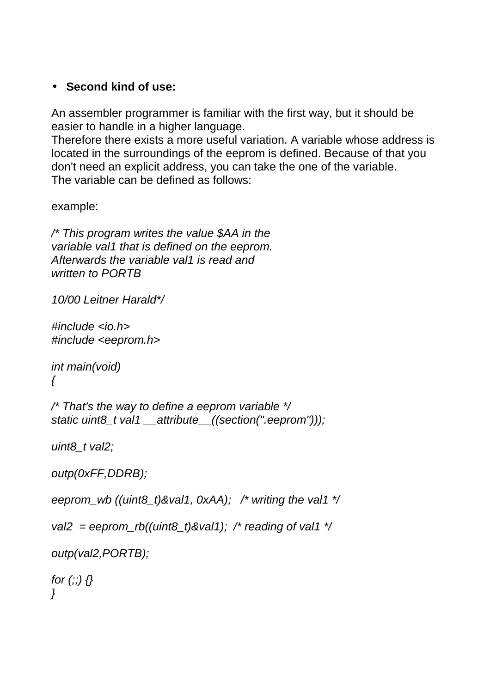#### • **Second kind of use:**

An assembler programmer is familiar with the first way, but it should be easier to handle in a higher language.

Therefore there exists a more useful variation. A variable whose address is located in the surroundings of the eeprom is defined. Because of that you don't need an explicit address, you can take the one of the variable. The variable can be defined as follows:

example:

/\* This program writes the value \$AA in the variable val1 that is defined on the eeprom. Afterwards the variable val1 is read and written to PORTB

```
10/00 Leitner Harald*/
```
 $\#$ include <io.h> #include <eeprom.h>

```
int main(void)
\left\{ \right.
```

```
/* That's the way to define a eeprom variable */
static uint8_t val1 __attribute ((section(".eeprom")));
```
uint<sub>8</sub> t val<sub>2</sub>;

outp(0xFF,DDRB);

eeprom\_wb ((uint8\_t)&val1, 0xAA); /\* writing the val1 \*/

```
val2 = eeprom_rb((uint8_t)&val1); /* reading of val1 */
```
outp(val2,PORTB);

for  $($ ;;)  $\{$ } }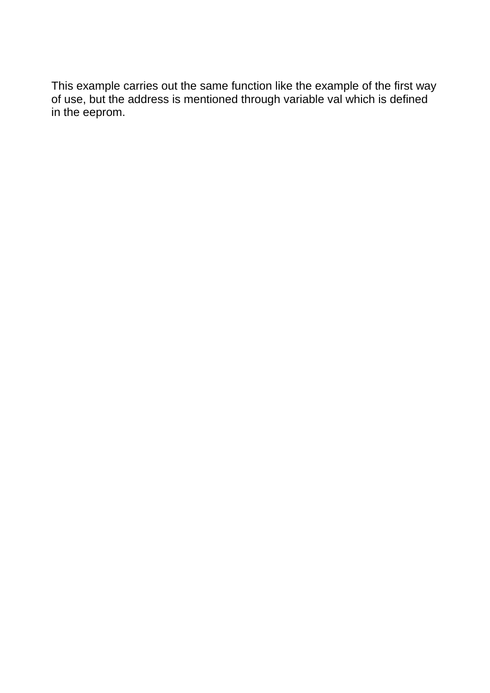This example carries out the same function like the example of the first way of use, but the address is mentioned through variable val which is defined in the eeprom.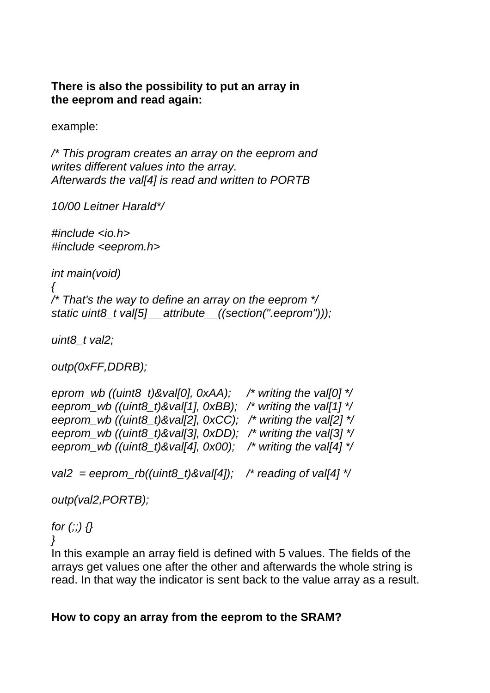#### **There is also the possibility to put an array in the eeprom and read again:**

example:

/\* This program creates an array on the eeprom and writes different values into the array. Afterwards the val[4] is read and written to PORTB

10/00 Leitner Harald\*/

 $\#$ include  $\lt$ io.h $>$ #include <eeprom.h>

```
int main(void)
```

```
\left\{ \right.\prime^* That's the way to define an array on the eeprom \prime\primestatic uint8_t val[5] __attribute ((section(".eeprom")));
```
uint<sub>8</sub> t val<sub>2</sub>;

outp(0xFF,DDRB);

```
eprom_wb ((uint8_t)&val[0], 0xAA); /* writing the val[0] */
eeprom_wb ((uint8_t)&val[1], 0xBB); /* writing the val[1] */
eeprom_wb ((uint8_t)&val[2], 0xCC); /* writing the val[2] */
eeprom_wb ((uint8_t)&val[3], 0xDD); /* writing the val[3] */
eeprom_wb ((uint8_t)&val[4], 0x00); /* writing the val[4] */
val2 = eeprom_rb((uint8_t)&val[4]); /* reading of val[4] */
```
outp(val2,PORTB);

for  $($ ;;)  $\{$ } }

In this example an array field is defined with 5 values. The fields of the arrays get values one after the other and afterwards the whole string is read. In that way the indicator is sent back to the value array as a result.

### **How to copy an array from the eeprom to the SRAM?**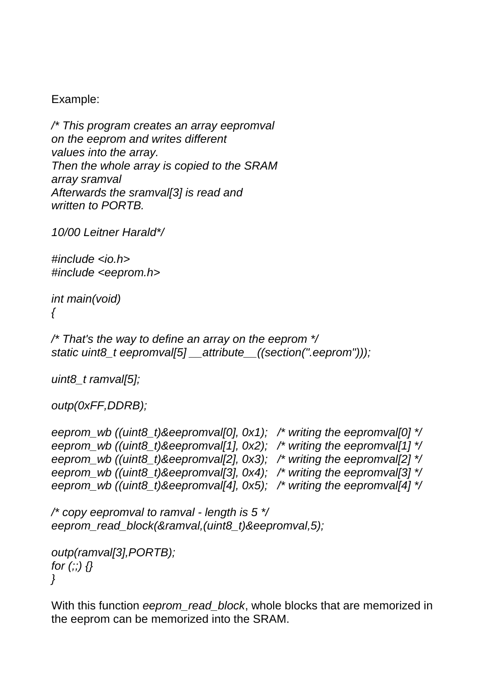Example:

/\* This program creates an array eepromval on the eeprom and writes different values into the array. Then the whole array is copied to the SRAM array sramval Afterwards the sramval[3] is read and written to PORTB.

10/00 Leitner Harald\*/

 $\#$ include  $\lt$ io.h $>$ #include <eeprom.h>

```
int main(void)
\{
```

```
\prime^* That's the way to define an array on the eeprom \prime\primestatic uint8 t eepromval[5] attribute ((section(".eeprom")));
```
uint8\_t ramval[5];

```
outp(0xFF,DDRB);
```

```
eeprom_wb ((uint8_t)&eepromval[0], 0x1); /* writing the eepromval[0] */
eeprom_wb ((uint8_t)&eepromval[1], 0x2); /* writing the eepromval[1] */
eeprom_wb ((uint8_t)&eepromval[2], 0x3); /* writing the eepromval[2] */
eeprom_wb ((uint8_t)&eepromval[3], 0x4); /* writing the eepromval[3] */
eeprom_wb ((uint8_t)&eepromval[4], 0x5); /* writing the eepromval[4] */
```
/\* copy eepromval to ramval - length is  $5 \frac{\gamma}{4}$ eeprom\_read\_block(&ramval,(uint8\_t)&eepromval,5);

```
outp(ramval[3],PORTB);
for (;;) \{}
}
```
With this function eeprom\_read\_block, whole blocks that are memorized in the eeprom can be memorized into the SRAM.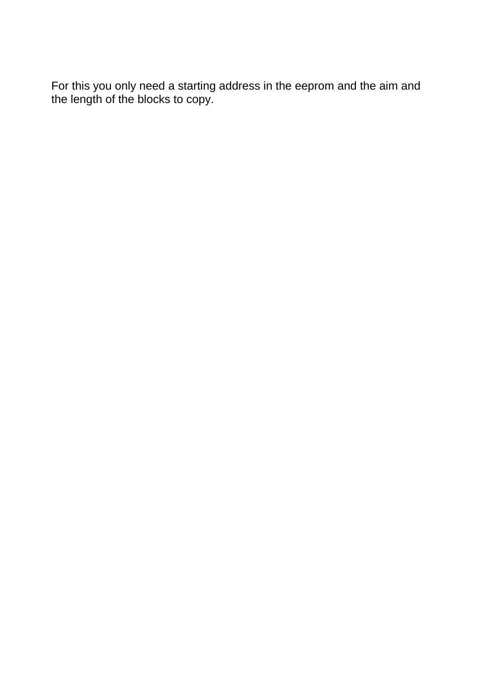For this you only need a starting address in the eeprom and the aim and the length of the blocks to copy.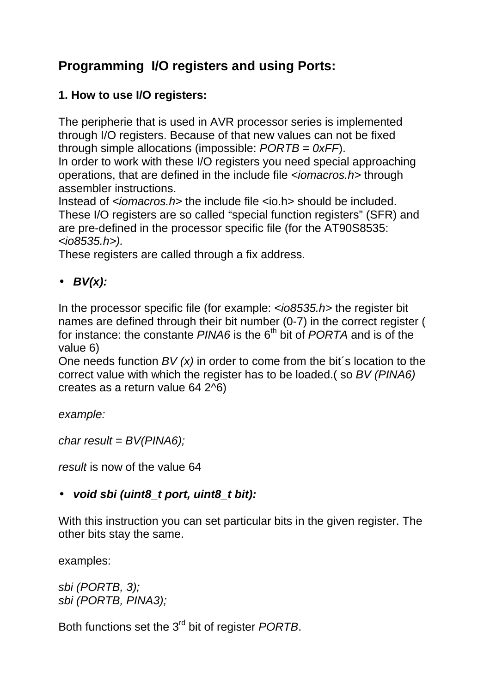# **Programming I/O registers and using Ports:**

# **1. How to use I/O registers:**

The peripherie that is used in AVR processor series is implemented through I/O registers. Because of that new values can not be fixed through simple allocations (impossible:  $PORTB = 0xFF$ ).

In order to work with these I/O registers you need special approaching operations, that are defined in the include file <iomacros.h> through assembler instructions.

Instead of  $\leq$  iomacros.h  $>$  the include file  $\leq$  io.h  $>$  should be included. These I/O registers are so called "special function registers" (SFR) and are pre-defined in the processor specific file (for the AT90S8535:  $<$ io8535.h>).

These registers are called through a fix address.

# • **BV(x):**

In the processor specific file (for example:  $\langle i \partial \delta 35. h \rangle$  the register bit names are defined through their bit number (0-7) in the correct register ( for instance: the constante  $PINAG$  is the  $6<sup>th</sup>$  bit of  $PORTA$  and is of the value 6)

One needs function  $BV(x)$  in order to come from the bit's location to the correct value with which the register has to be loaded.( so BV (PINA6) creates as a return value 64 2^6)

example:

char result =  $BV(PINA6)$ ;

result is now of the value 64

# • **void sbi (uint8\_t port, uint8\_t bit):**

With this instruction you can set particular bits in the given register. The other bits stay the same.

examples:

sbi (PORTB, 3); sbi (PORTB, PINA3);

Both functions set the  $3^{\text{rd}}$  bit of register PORTB.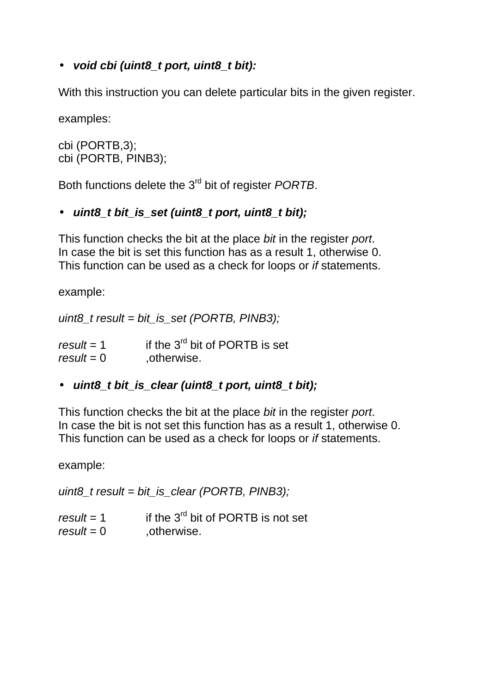• **void cbi (uint8\_t port, uint8\_t bit):**

With this instruction you can delete particular bits in the given register.

examples:

cbi (PORTB,3); cbi (PORTB, PINB3);

Both functions delete the  $3^{\text{rd}}$  bit of register PORTB.

# • **uint8\_t bit\_is\_set (uint8\_t port, uint8\_t bit);**

This function checks the bit at the place *bit* in the register *port*. In case the bit is set this function has as a result 1, otherwise 0. This function can be used as a check for loops or if statements.

example:

uint8\_t result = bit\_is\_set (PORTB, PINB3);

| $result = 1$ | if the $3^{rd}$ bit of PORTB is set |
|--------------|-------------------------------------|
| $result = 0$ | , otherwise.                        |

### • **uint8\_t bit\_is\_clear (uint8\_t port, uint8\_t bit);**

This function checks the bit at the place bit in the register port. In case the bit is not set this function has as a result 1, otherwise 0. This function can be used as a check for loops or if statements.

example:

uint8 t result = bit is clear (PORTB, PINB3);

| $result = 1$ | if the $3^{rd}$ bit of PORTB is not set |
|--------------|-----------------------------------------|
| $result = 0$ | .otherwise.                             |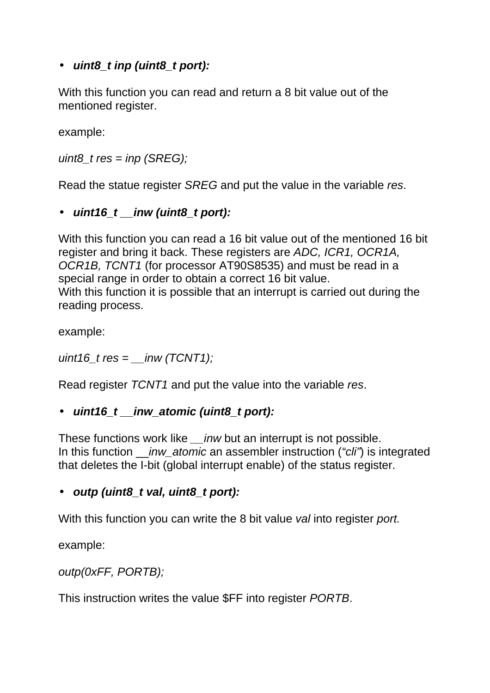#### • **uint8\_t inp (uint8\_t port):**

With this function you can read and return a 8 bit value out of the mentioned register.

example:

uint8  $t$  res = inp (SREG);

Read the statue register SREG and put the value in the variable res.

#### • **uint16\_t \_\_inw (uint8\_t port):**

With this function you can read a 16 bit value out of the mentioned 16 bit register and bring it back. These registers are ADC, ICR1, OCR1A, OCR1B, TCNT1 (for processor AT90S8535) and must be read in a special range in order to obtain a correct 16 bit value. With this function it is possible that an interrupt is carried out during the reading process.

example:

uint16  $t$  res = \_\_inw (TCNT1);

Read register TCNT1 and put the value into the variable res.

#### • **uint16\_t \_\_inw\_atomic (uint8\_t port):**

These functions work like *\_\_inw* but an interrupt is not possible. In this function *inw* atomic an assembler instruction ("cli") is integrated that deletes the I-bit (global interrupt enable) of the status register.

#### • **outp (uint8\_t val, uint8\_t port):**

With this function you can write the 8 bit value val into register port.

example:

outp(0xFF, PORTB);

This instruction writes the value \$FF into register PORTB.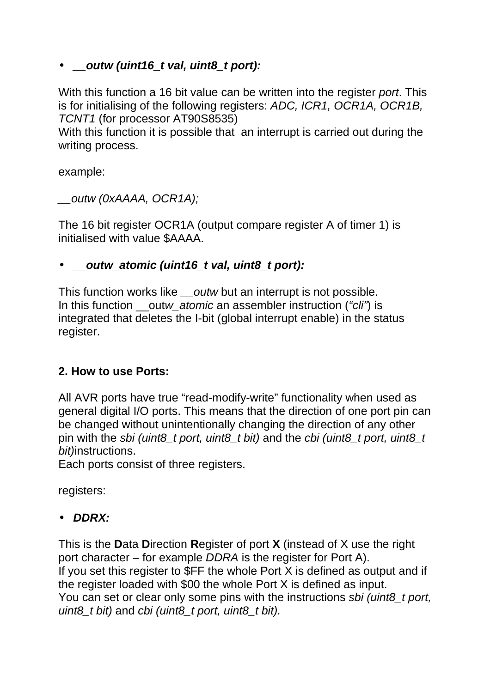### • **\_\_outw (uint16\_t val, uint8\_t port):**

With this function a 16 bit value can be written into the register port. This is for initialising of the following registers: ADC, ICR1, OCR1A, OCR1B, TCNT1 (for processor AT90S8535)

With this function it is possible that an interrupt is carried out during the writing process.

example:

\_\_outw (0xAAAA, OCR1A);

The 16 bit register OCR1A (output compare register A of timer 1) is initialised with value \$AAAA.

#### • **\_\_outw\_atomic (uint16\_t val, uint8\_t port):**

This function works like *outw* but an interrupt is not possible. In this function outw atomic an assembler instruction ("cli") is integrated that deletes the I-bit (global interrupt enable) in the status register.

### **2. How to use Ports:**

All AVR ports have true "read-modify-write" functionality when used as general digital I/O ports. This means that the direction of one port pin can be changed without unintentionally changing the direction of any other pin with the sbi (uint8 t port, uint8 t bit) and the cbi (uint8 t port, uint8 t bit)instructions.

Each ports consist of three registers.

registers:

### • **DDRX:**

This is the **D**ata **D**irection **R**egister of port **X** (instead of X use the right port character – for example DDRA is the register for Port A). If you set this register to \$FF the whole Port X is defined as output and if the register loaded with \$00 the whole Port X is defined as input. You can set or clear only some pins with the instructions sbi (uint8\_t port, uint8 t bit) and cbi (uint8 t port, uint8 t bit).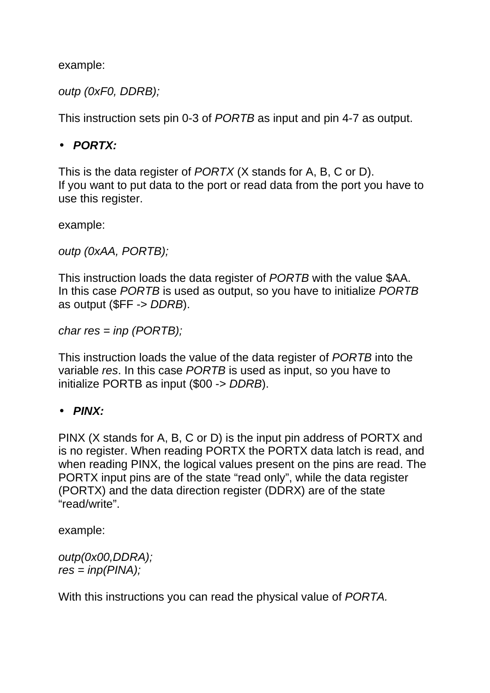example:

outp (0xF0, DDRB);

This instruction sets pin 0-3 of PORTB as input and pin 4-7 as output.

## • **PORTX:**

This is the data register of PORTX (X stands for A, B, C or D). If you want to put data to the port or read data from the port you have to use this register.

example:

outp (0xAA, PORTB);

This instruction loads the data register of PORTB with the value \$AA. In this case PORTB is used as output, so you have to initialize PORTB as output (\$FF -> DDRB).

char res = inp  $(PORTB)$ ;

This instruction loads the value of the data register of PORTB into the variable res. In this case PORTB is used as input, so you have to initialize PORTB as input (\$00 -> DDRB).

### • **PINX:**

PINX (X stands for A, B, C or D) is the input pin address of PORTX and is no register. When reading PORTX the PORTX data latch is read, and when reading PINX, the logical values present on the pins are read. The PORTX input pins are of the state "read only", while the data register (PORTX) and the data direction register (DDRX) are of the state "read/write".

example:

outp(0x00,DDRA);  $res = inp(PINA);$ 

With this instructions you can read the physical value of PORTA.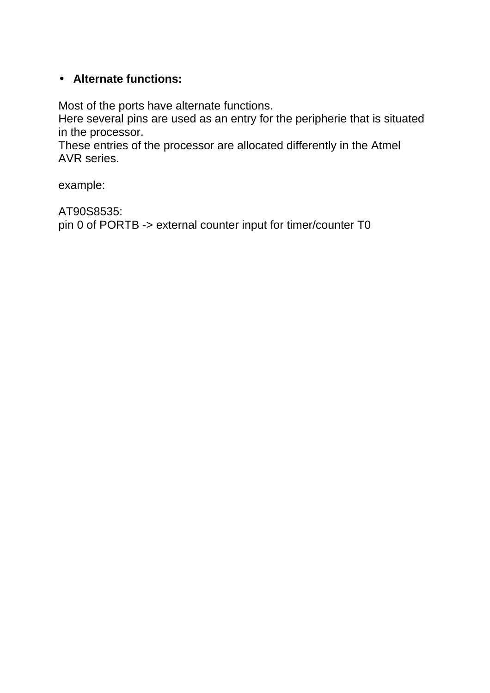#### • **Alternate functions:**

Most of the ports have alternate functions.

Here several pins are used as an entry for the peripherie that is situated in the processor.

These entries of the processor are allocated differently in the Atmel AVR series.

example:

AT90S8535: pin 0 of PORTB -> external counter input for timer/counter T0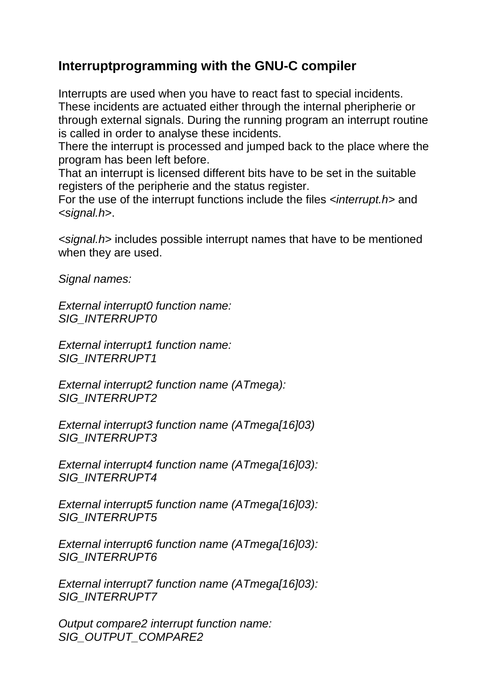# **Interruptprogramming with the GNU-C compiler**

Interrupts are used when you have to react fast to special incidents. These incidents are actuated either through the internal pheripherie or through external signals. During the running program an interrupt routine is called in order to analyse these incidents.

There the interrupt is processed and jumped back to the place where the program has been left before.

That an interrupt is licensed different bits have to be set in the suitable registers of the peripherie and the status register.

For the use of the interrupt functions include the files *<interrupt.h*> and <signal.h>.

<signal.h> includes possible interrupt names that have to be mentioned when they are used.

Signal names:

External interrupt0 function name: SIG\_INTERRUPT0

External interrupt1 function name: SIG\_INTERRUPT1

External interrupt2 function name (ATmega): SIG\_INTERRUPT2

External interrupt3 function name (ATmega[16]03) SIG\_INTERRUPT3

External interrupt4 function name (ATmega[16]03): SIG\_INTERRUPT4

External interrupt5 function name (ATmega[16]03): SIG\_INTERRUPT5

External interrupt6 function name (ATmega[16]03): SIG\_INTERRUPT6

External interrupt7 function name (ATmega[16]03): SIG\_INTERRUPT7

Output compare2 interrupt function name: SIG\_OUTPUT\_COMPARE2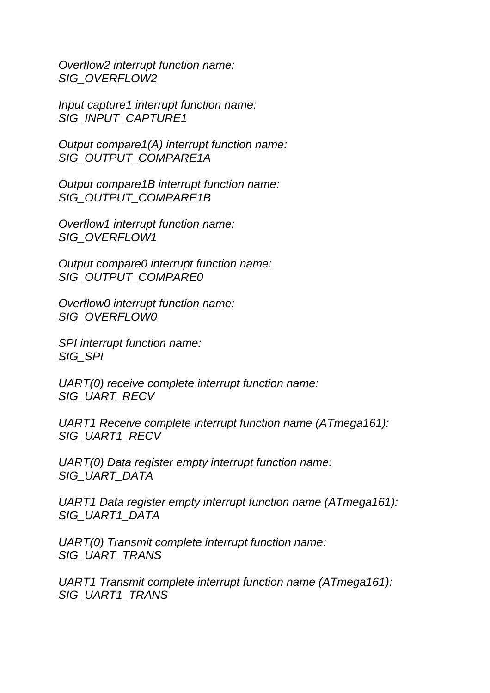Overflow2 interrupt function name: SIG\_OVERFLOW2

Input capture1 interrupt function name: SIG\_INPUT\_CAPTURE1

Output compare1(A) interrupt function name: SIG\_OUTPUT\_COMPARE1A

Output compare1B interrupt function name: SIG\_OUTPUT\_COMPARE1B

Overflow1 interrupt function name: SIG\_OVERFLOW1

Output compare0 interrupt function name: SIG\_OUTPUT\_COMPARE0

Overflow0 interrupt function name: SIG\_OVERFLOW0

SPI interrupt function name: SIG\_SPI

UART(0) receive complete interrupt function name: SIG\_UART\_RECV

UART1 Receive complete interrupt function name (ATmega161): SIG\_UART1\_RECV

UART(0) Data register empty interrupt function name: SIG\_UART\_DATA

UART1 Data register empty interrupt function name (ATmega161): SIG\_UART1\_DATA

UART(0) Transmit complete interrupt function name: SIG\_UART\_TRANS

UART1 Transmit complete interrupt function name (ATmega161): SIG\_UART1\_TRANS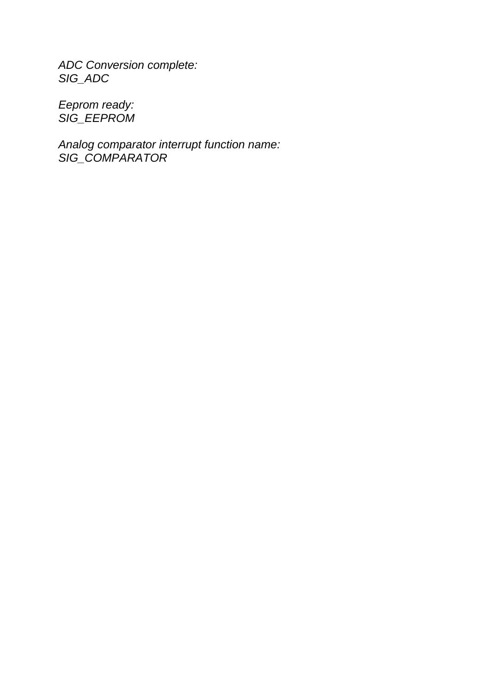ADC Conversion complete: SIG\_ADC

Eeprom ready: SIG\_EEPROM

Analog comparator interrupt function name: SIG\_COMPARATOR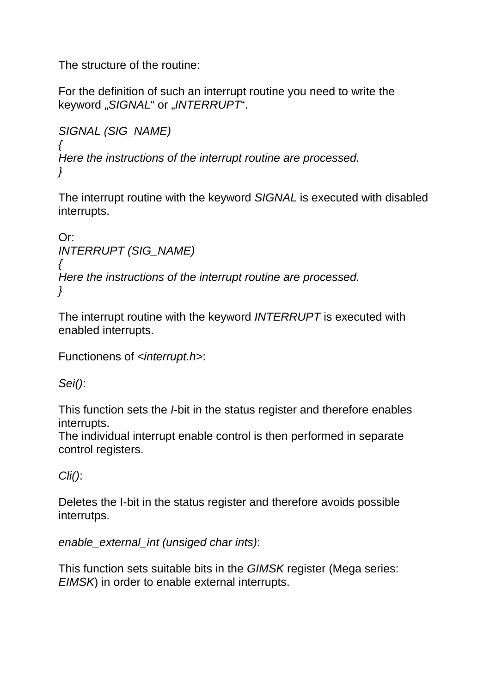The structure of the routine:

For the definition of such an interrupt routine you need to write the keyword "SIGNAL" or "INTERRUPT".

SIGNAL (SIG\_NAME) { Here the instructions of the interrupt routine are processed. }

The interrupt routine with the keyword SIGNAL is executed with disabled interrupts.

Or: INTERRUPT (SIG\_NAME)  $\{$ Here the instructions of the interrupt routine are processed. }

The interrupt routine with the keyword INTERRUPT is executed with enabled interrupts.

Functionens of *<interrupt.h>*:

Sei():

This function sets the *I*-bit in the status register and therefore enables interrupts.

The individual interrupt enable control is then performed in separate control registers.

 $Cli()$ :

Deletes the I-bit in the status register and therefore avoids possible interrutps.

enable\_external\_int (unsiged char ints):

This function sets suitable bits in the GIMSK register (Mega series: EIMSK) in order to enable external interrupts.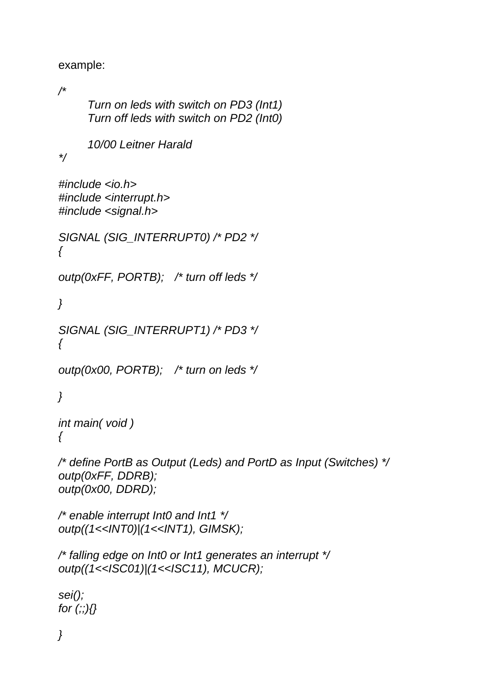example:

```
/*
      Turn on leds with switch on PD3 (Int1)
      Turn off leds with switch on PD2 (Int0)
      10/00 Leitner Harald
*/
\#include \ltio.h >#include <interrupt.h>
#include <signal.h>
SIGNAL (SIG_INTERRUPT0) /* PD2 */
\{outp(0xFF, PORTB); /* turn off leds */
}
SIGNAL (SIG_INTERRUPT1) /* PD3 */
\{outp(0x00, PORTB); /* turn on leds */
}
int main( void )
\{/* define PortB as Output (Leds) and PortD as Input (Switches) */
outp(0xFF, DDRB);
outp(0x00, DDRD);
\prime^* enable interrupt Int0 and Int1 \prime\primeoutp((1<<INT0)|(1<<INT1), GIMSK);
/* falling edge on Int0 or Int1 generates an interrupt */
outp((1<<ISC01)|(1<<ISC11), MCUCR);
sei();
for (:) \}
```
}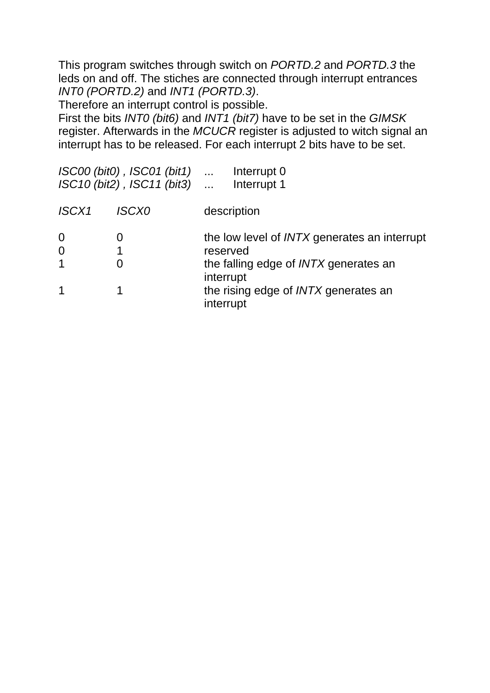This program switches through switch on PORTD.2 and PORTD.3 the leds on and off. The stiches are connected through interrupt entrances INT0 (PORTD.2) and INT1 (PORTD.3).

Therefore an interrupt control is possible.

First the bits INT0 (bit6) and INT1 (bit7) have to be set in the GIMSK register. Afterwards in the MCUCR register is adjusted to witch signal an interrupt has to be released. For each interrupt 2 bits have to be set.

| $ISCOO(bit0)$ , $ISCO1$ (bit1)<br>ISC10 (bit2), ISC11 (bit3) | Interrupt 0<br>Interrupt 1                                                                                                                                                               |  |
|--------------------------------------------------------------|------------------------------------------------------------------------------------------------------------------------------------------------------------------------------------------|--|
| ISCX1<br><b>ISCX0</b>                                        | description                                                                                                                                                                              |  |
| 0<br>O<br>$\overline{0}$<br>1<br>$\mathbf 1$<br>O<br>1<br>1  | the low level of <i>INTX</i> generates an interrupt<br>reserved<br>the falling edge of <i>INTX</i> generates an<br>interrupt<br>the rising edge of <i>INTX</i> generates an<br>interrupt |  |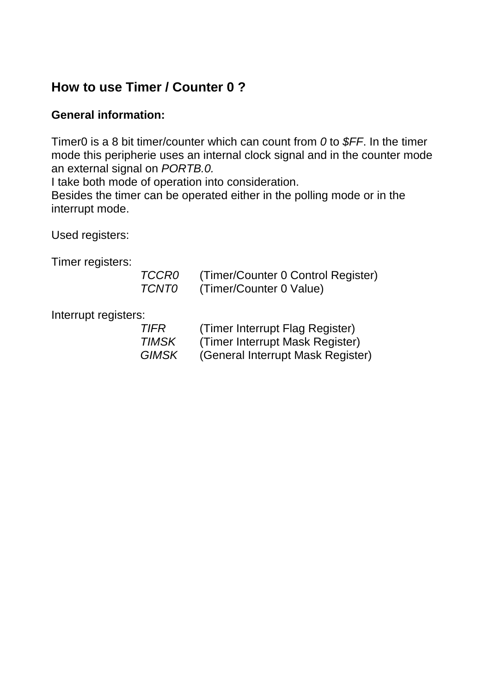# **How to use Timer / Counter 0 ?**

### **General information:**

Timer0 is a 8 bit timer/counter which can count from 0 to  $\sqrt{\frac{S}{F}}$ . In the timer mode this peripherie uses an internal clock signal and in the counter mode an external signal on PORTB.0.

I take both mode of operation into consideration.

Besides the timer can be operated either in the polling mode or in the interrupt mode.

Used registers:

Timer registers:

| <b>TCCR0</b> | (Timer/Counter 0 Control Register) |
|--------------|------------------------------------|
| <b>TCNT0</b> | (Timer/Counter 0 Value)            |

Interrupt registers:

| TIFR         | (Timer Interrupt Flag Register)   |
|--------------|-----------------------------------|
| <b>TIMSK</b> | (Timer Interrupt Mask Register)   |
| <b>GIMSK</b> | (General Interrupt Mask Register) |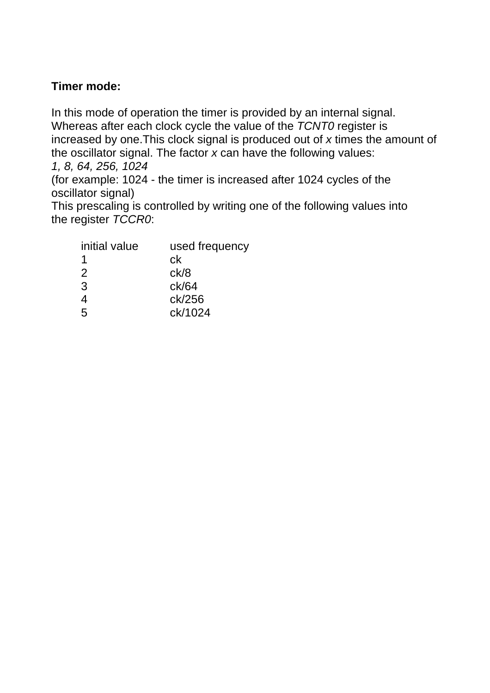## **Timer mode:**

In this mode of operation the timer is provided by an internal signal. Whereas after each clock cycle the value of the TCNT0 register is increased by one.This clock signal is produced out of x times the amount of the oscillator signal. The factor  $x$  can have the following values:

1, 8, 64, 256, 1024

(for example: 1024 - the timer is increased after 1024 cycles of the oscillator signal)

This prescaling is controlled by writing one of the following values into the register TCCR0:

| initial value | used frequency |
|---------------|----------------|
|               | ck             |
| 2             | ck/8           |
| 3             | ck/64          |
| 4             | ck/256         |
| 5             | ck/1024        |
|               |                |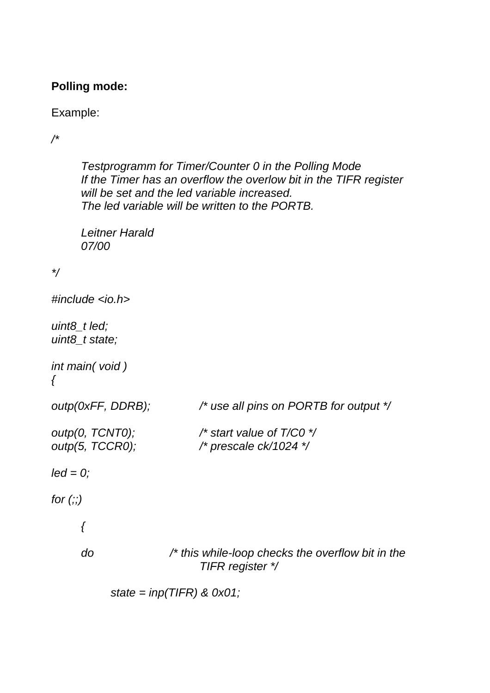## **Polling mode:**

Example:

/\*

```
Testprogramm for Timer/Counter 0 in the Polling Mode
     If the Timer has an overflow the overlow bit in the TIFR register
     will be set and the led variable increased.
     The led variable will be written to the PORTB.
     Leitner Harald
     07/00
*/
#include <io.h>
uint8_t led;
uint8_t state;
int main( void )
\{outp(0xFF, DDRB); /* use all pins on PORTB for output */
outp(0, TCNT0); /* start value of T/C0 */
outp(5, TCCR0); /* prescale ck/1024 */
led = 0;for (:){
     do /* this while-loop checks the overflow bit in the
                           TIFR register */
```
state =  $inp(TIFR)$  &  $0x01$ ;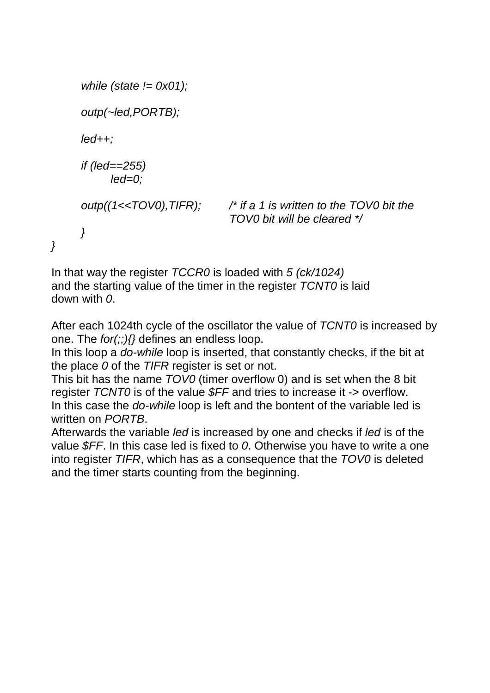```
while (state != 0x01):
outp(~led,PORTB);
led++if (led==255)
     led=0;
outp((1<<TOV0),TIFR); /* if a 1 is written to the TOV0 bit the
                            TOV0 bit will be cleared */
}
```
In that way the register TCCR0 is loaded with 5 (ck/1024) and the starting value of the timer in the register TCNT0 is laid down with  $\Omega$ .

}

After each 1024th cycle of the oscillator the value of TCNT0 is increased by one. The for(:;){} defines an endless loop.

In this loop a do-while loop is inserted, that constantly checks, if the bit at the place 0 of the TIFR register is set or not.

This bit has the name TOV0 (timer overflow 0) and is set when the 8 bit register TCNT0 is of the value \$FF and tries to increase it -> overflow. In this case the *do-while* loop is left and the bontent of the variable led is written on PORTB.

Afterwards the variable led is increased by one and checks if led is of the value \$FF. In this case led is fixed to 0. Otherwise you have to write a one into register TIFR, which has as a consequence that the TOV0 is deleted and the timer starts counting from the beginning.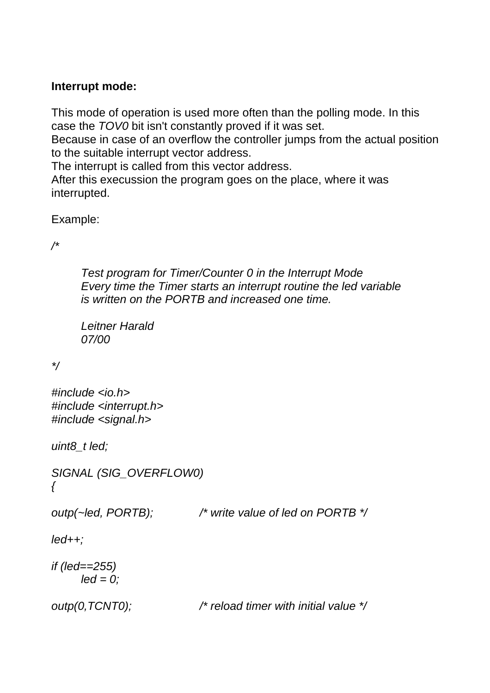#### **Interrupt mode:**

This mode of operation is used more often than the polling mode. In this case the TOV0 bit isn't constantly proved if it was set.

Because in case of an overflow the controller jumps from the actual position to the suitable interrupt vector address.

The interrupt is called from this vector address.

After this execussion the program goes on the place, where it was interrupted.

Example:

/\*

Test program for Timer/Counter 0 in the Interrupt Mode Every time the Timer starts an interrupt routine the led variable is written on the PORTB and increased one time.

Leitner Harald 07/00

\*/

 $\#$ include  $\lt$ io.h #include <interrupt.h> #include <signal.h>

uint<sub>8</sub> t led;

```
SIGNAL (SIG_OVERFLOW0)
{
```
outp(~led, PORTB); /\* write value of led on PORTB \*/

 $led++;$ 

if (led==255)  $led = 0;$ 

outp(0,TCNT0); /\* reload timer with initial value \*/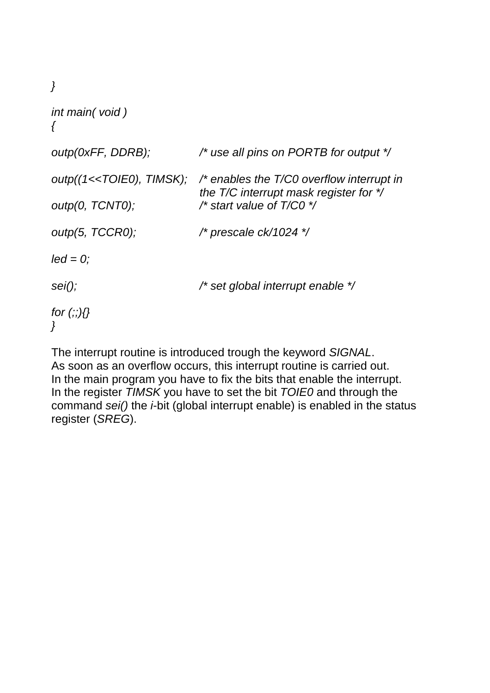```
int main( void )
{
outp(0xFF, DDRB); /* use all pins on PORTB for output */
outp((1<<TOIE0), TIMSK); /* enables the T/C0 overflow interrupt in
                           the T/C interrupt mask register for */
outp(0, TCNT0); /* start value of T/C0 */
outp(5, TCCR0); /* prescale ck/1024 */
\text{led} = 0;
sei(); \frac{1}{2} set global interrupt enable \frac{1}{2}for (;;){}
}
```
}

The interrupt routine is introduced trough the keyword SIGNAL. As soon as an overflow occurs, this interrupt routine is carried out. In the main program you have to fix the bits that enable the interrupt. In the register TIMSK you have to set the bit TOIE0 and through the command sei() the i-bit (global interrupt enable) is enabled in the status register (SREG).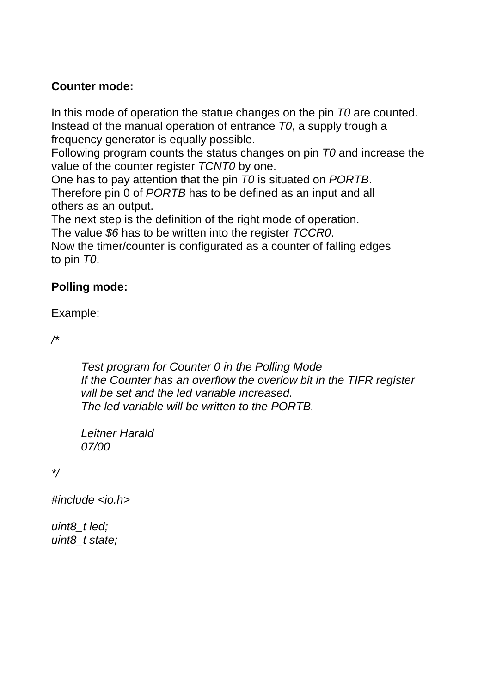## **Counter mode:**

In this mode of operation the statue changes on the pin TO are counted. Instead of the manual operation of entrance T0, a supply trough a frequency generator is equally possible.

Following program counts the status changes on pin T0 and increase the value of the counter register TCNT0 by one.

One has to pay attention that the pin T0 is situated on PORTB. Therefore pin 0 of PORTB has to be defined as an input and all others as an output.

The next step is the definition of the right mode of operation.

The value \$6 has to be written into the register TCCR0.

Now the timer/counter is configurated as a counter of falling edges to pin T0.

## **Polling mode:**

Example:

/\*

Test program for Counter 0 in the Polling Mode If the Counter has an overflow the overlow bit in the TIFR register will be set and the led variable increased. The led variable will be written to the PORTB.

Leitner Harald 07/00

\*/

 $\#$ include  $\lt$ io.h  $>$ 

uint<sub>8</sub> t led; uint8\_t state;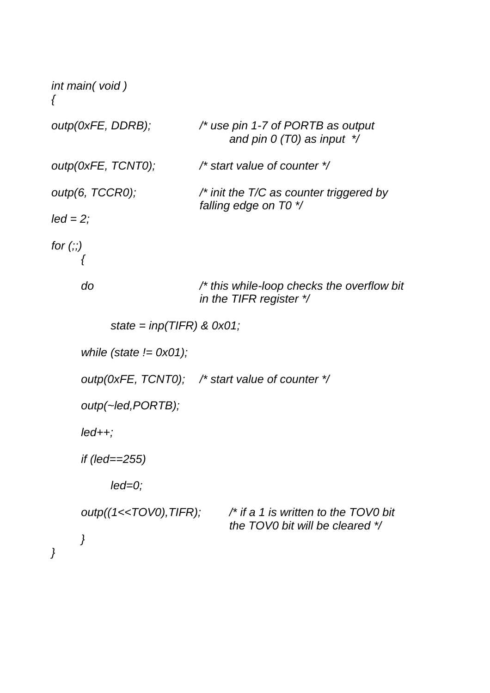| int main(void)<br>$\{$            |                                                                                       |  |
|-----------------------------------|---------------------------------------------------------------------------------------|--|
| outp(0xFE, DDRB);                 | $\frac{1}{2}$ use pin 1-7 of PORTB as output<br>and pin 0 (T0) as input $\frac{*}{ }$ |  |
| outp(0xFE, TCNT0);                | $\prime^*$ start value of counter $\prime\prime$                                      |  |
| outp(6, TCCR0);                   | /* init the T/C as counter triggered by                                               |  |
| $led = 2;$                        | falling edge on T0 */                                                                 |  |
| for $($ ;; $)$                    |                                                                                       |  |
| do                                | /* this while-loop checks the overflow bit<br>in the TIFR register */                 |  |
| state = $inp(TIFR)$ & 0x01;       |                                                                                       |  |
| while (state $l = 0 \times 01$ ); |                                                                                       |  |
|                                   | outp(0xFE, TCNT0); /* start value of counter */                                       |  |
| outp(~led,PORTB);                 |                                                                                       |  |
| $led++;$                          |                                                                                       |  |
| if (led== $255$ )                 |                                                                                       |  |
| $led=0;$                          |                                                                                       |  |
| $outp((1\leftarrow TOVO),TIFR);$  | $\frac{1}{2}$ if a 1 is written to the TOV0 bit                                       |  |
| $\}$<br>$\}$                      | the TOV0 bit will be cleared */                                                       |  |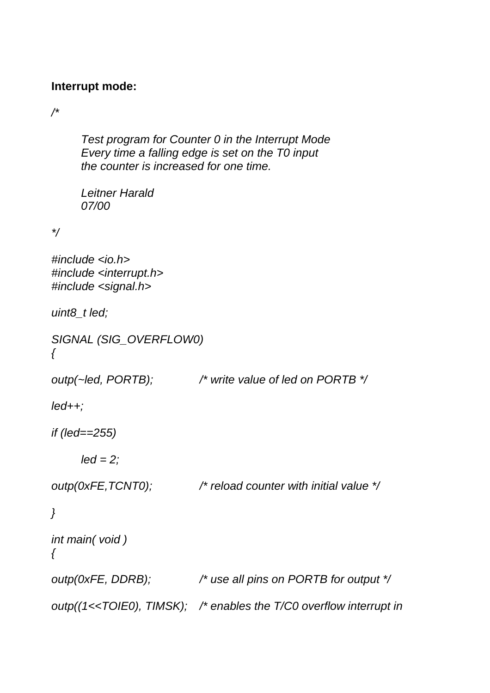#### **Interrupt mode:**

/\*

```
Test program for Counter 0 in the Interrupt Mode
     Every time a falling edge is set on the T0 input
     the counter is increased for one time.
     Leitner Harald
     07/00
*/
\#include <io.h>
#include <interrupt.h>
#include <signal.h>
uint<sub>8</sub> t led;
SIGNAL (SIG_OVERFLOW0)
{
outp(~led, PORTB); /* write value of led on PORTB */
led++;if (led==255)
     led = 2;
outp(0xFE,TCNT0); /* reload counter with initial value */
}
int main( void )
{
outp(0xFE, DDRB); /* use all pins on PORTB for output */
outp((1<<TOIE0), TIMSK); /* enables the T/C0 overflow interrupt in
```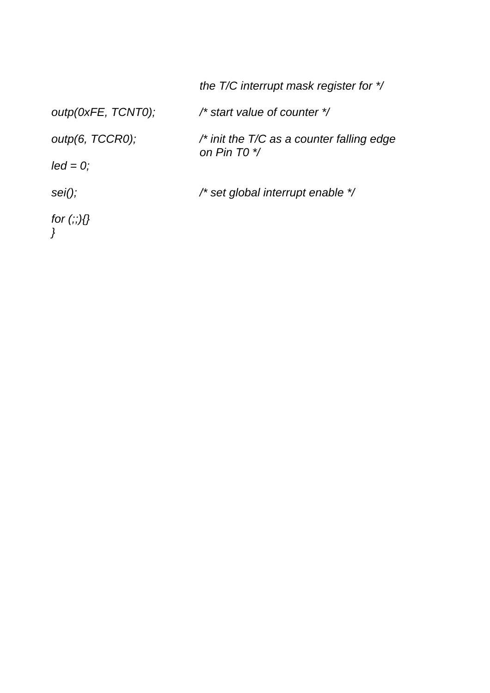|                    | the T/C interrupt mask register for */                               |
|--------------------|----------------------------------------------------------------------|
| outp(0xFE, TCNT0); | $\prime^*$ start value of counter $\prime\prime$                     |
| outp(6, TCCR0);    | $\prime^*$ init the T/C as a counter falling edge<br>on Pin T0 $^*/$ |
| $\text{led} = 0$ ; |                                                                      |
| $sei$ ;            | $\prime^*$ set global interrupt enable $\prime\prime$                |
| for $(:)$ $\{\}$   |                                                                      |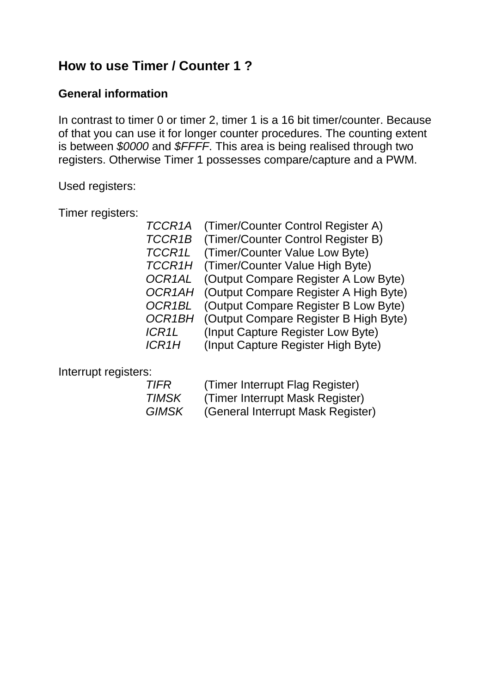## **How to use Timer / Counter 1 ?**

## **General information**

In contrast to timer 0 or timer 2, timer 1 is a 16 bit timer/counter. Because of that you can use it for longer counter procedures. The counting extent is between \$0000 and \$FFFF. This area is being realised through two registers. Otherwise Timer 1 possesses compare/capture and a PWM.

Used registers:

Timer registers:

| TCCR1A              | (Timer/Counter Control Register A)    |
|---------------------|---------------------------------------|
| TCCR1B              | (Timer/Counter Control Register B)    |
| TCCR1L              | (Timer/Counter Value Low Byte)        |
| TCCR1H              | (Timer/Counter Value High Byte)       |
| OCR <sub>1</sub> AL | (Output Compare Register A Low Byte)  |
| OCR1AH              | (Output Compare Register A High Byte) |
| OCR1BL              | (Output Compare Register B Low Byte)  |
| OCR1BH              | (Output Compare Register B High Byte) |
| ICR <sub>1</sub> L  | (Input Capture Register Low Byte)     |
| ICR1H               | (Input Capture Register High Byte)    |

Interrupt registers:

| <b>TIFR</b>  | (Timer Interrupt Flag Register)   |
|--------------|-----------------------------------|
| <b>TIMSK</b> | (Timer Interrupt Mask Register)   |
| <b>GIMSK</b> | (General Interrupt Mask Register) |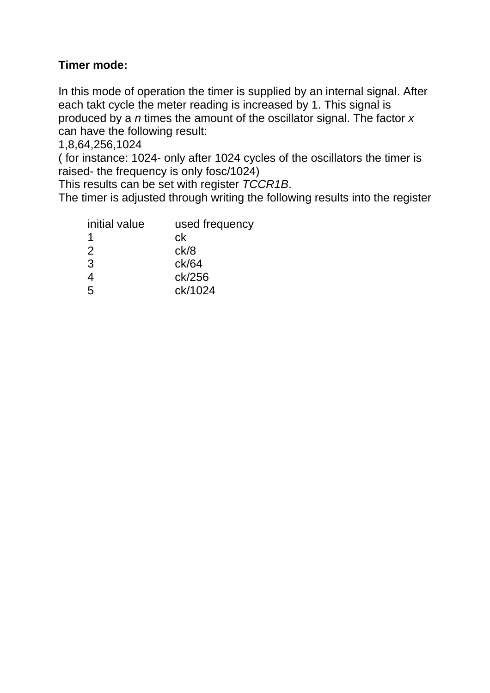## **Timer mode:**

In this mode of operation the timer is supplied by an internal signal. After each takt cycle the meter reading is increased by 1. This signal is produced by a n times the amount of the oscillator signal. The factor  $x$ can have the following result:

1,8,64,256,1024

( for instance: 1024- only after 1024 cycles of the oscillators the timer is raised- the frequency is only fosc/1024)

This results can be set with register TCCR1B.

The timer is adjusted through writing the following results into the register

| initial value | used frequency |
|---------------|----------------|
| 1             | ck             |
| 2             | ck/8           |
| 3             | ck/64          |
| 4             | ck/256         |
| 5             | ck/1024        |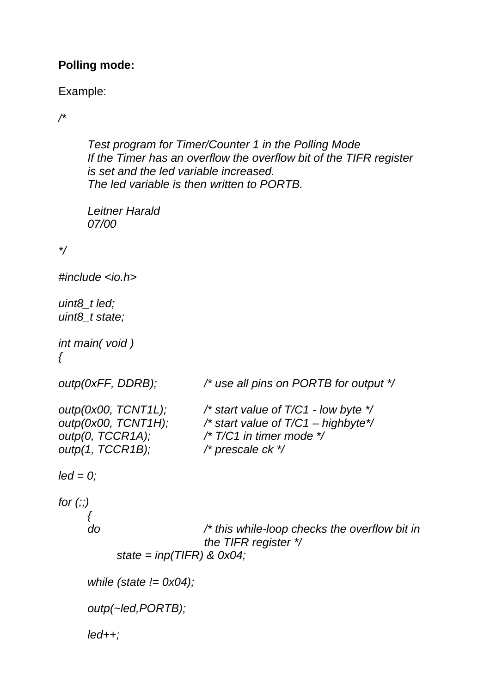## **Polling mode:**

Example:

/\*

```
Test program for Timer/Counter 1 in the Polling Mode
     If the Timer has an overflow the overflow bit of the TIFR register
     is set and the led variable increased.
     The led variable is then written to PORTB.
     Leitner Harald
     07/00
*/
#include <io.h>
uint8_t led;
uint8_t state;
int main( void )
{
outp(0xFF, DDRB); /* use all pins on PORTB for output */
outp(0x00, TCNT1L); /* start value of T/C1 - low byte */
outp(0x00, TCNT1H); /* start value of T/C1 – highbyte*/
outp(0, TCCR1A); /* T/C1 in timer mode */
outp(1, TCCR1B); /* prescale ck */
led = 0;for (;;)
     \{do /* this while-loop checks the overflow bit in
                          the TIFR register */
          state = inp(TIFR) & 0x04;
     while (state != 0x04);
     outp(~led,PORTB);
     led++;
```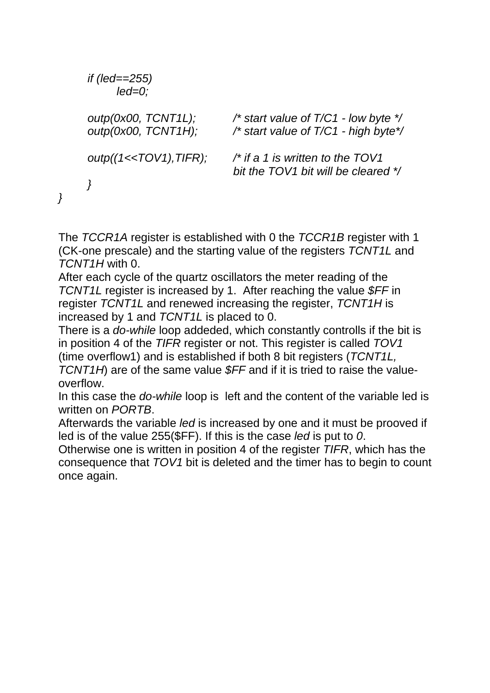if (led==255)  $led=0$ ;

outp(0x00, TCNT1L); /\* start value of T/C1 - low byte \*/ outp(0x00, TCNT1H); /\* start value of T/C1 - high byte\*/

outp( $(1\lt\lt$ TOV1), TIFR); /\* if a 1 is written to the TOV1 bit the TOV1 bit will be cleared \*/

```
}
```
}

The TCCR1A register is established with 0 the TCCR1B register with 1 (CK-one prescale) and the starting value of the registers TCNT1L and TCNT1H with 0.

After each cycle of the quartz oscillators the meter reading of the TCNT1L register is increased by 1. After reaching the value \$FF in register TCNT1L and renewed increasing the register, TCNT1H is increased by 1 and TCNT1L is placed to 0.

There is a do-while loop addeded, which constantly controlls if the bit is in position 4 of the TIFR register or not. This register is called TOV1 (time overflow1) and is established if both 8 bit registers (TCNT1L,

TCNT1H) are of the same value \$FF and if it is tried to raise the valueoverflow.

In this case the *do-while* loop is left and the content of the variable led is written on PORTB.

Afterwards the variable led is increased by one and it must be prooved if led is of the value 255(\$FF). If this is the case led is put to 0.

Otherwise one is written in position 4 of the register TIFR, which has the consequence that TOV1 bit is deleted and the timer has to begin to count once again.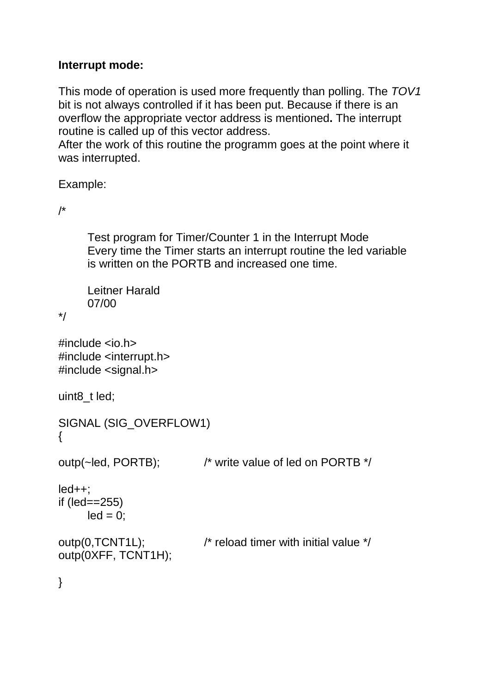#### **Interrupt mode:**

This mode of operation is used more frequently than polling. The TOV1 bit is not always controlled if it has been put. Because if there is an overflow the appropriate vector address is mentioned**.** The interrupt routine is called up of this vector address.

After the work of this routine the programm goes at the point where it was interrupted.

Example:

/\*

Test program for Timer/Counter 1 in the Interrupt Mode Every time the Timer starts an interrupt routine the led variable is written on the PORTB and increased one time.

Leitner Harald 07/00

\*/

#include <io.h> #include <interrupt.h> #include <signal.h>

uint8\_t led;

```
SIGNAL (SIG_OVERFLOW1)
\{
```
outp(~led, PORTB); /\* write value of led on PORTB \*/

led++; if  $($ led==255 $)$  $led = 0;$ 

outp(0,TCNT1L); /\* reload timer with initial value \*/ outp(0XFF, TCNT1H);

}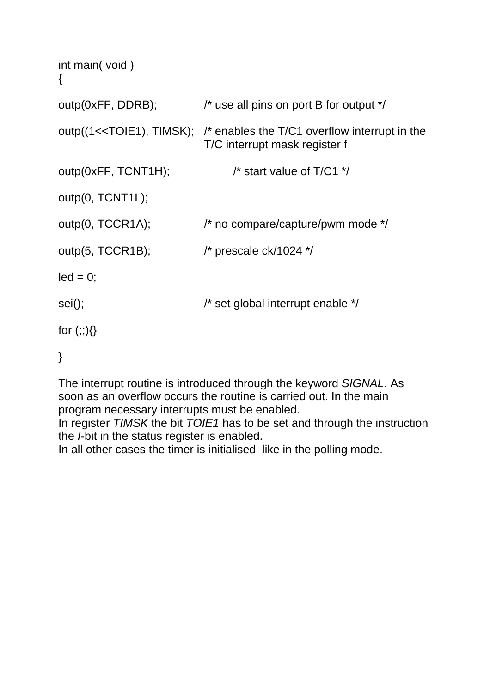```
int main( void )
{
outp(0xFF, DDRB); /* use all pins on port B for output */
outp((1<<TOIE1), TIMSK); /* enables the T/C1 overflow interrupt in the
                         T/C interrupt mask register f
outp(0xFF, TCNT1H); /* start value of T/C1 */
outp(0, TCNT1L);
outp(0, TCCR1A); /* no compare/capture/pwm mode */
outp(5, TCCR1B); /* prescale ck/1024 */
led = 0;sei(); \frac{1}{2} /* set global interrupt enable */
for (:;){}
```
}

The interrupt routine is introduced through the keyword SIGNAL. As soon as an overflow occurs the routine is carried out. In the main program necessary interrupts must be enabled.

In register TIMSK the bit TOIE1 has to be set and through the instruction the *I*-bit in the status register is enabled.

In all other cases the timer is initialised like in the polling mode.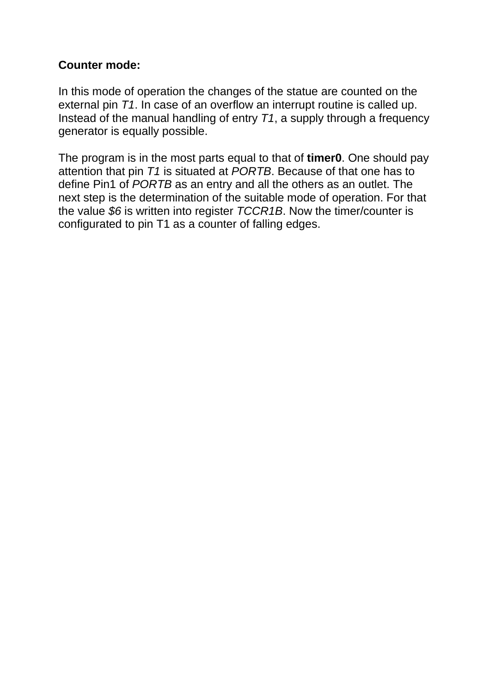#### **Counter mode:**

In this mode of operation the changes of the statue are counted on the external pin T1. In case of an overflow an interrupt routine is called up. Instead of the manual handling of entry  $T_1$ , a supply through a frequency generator is equally possible.

The program is in the most parts equal to that of **timer0**. One should pay attention that pin T1 is situated at PORTB. Because of that one has to define Pin1 of PORTB as an entry and all the others as an outlet. The next step is the determination of the suitable mode of operation. For that the value  $$6$  is written into register TCCR1B. Now the timer/counter is configurated to pin T1 as a counter of falling edges.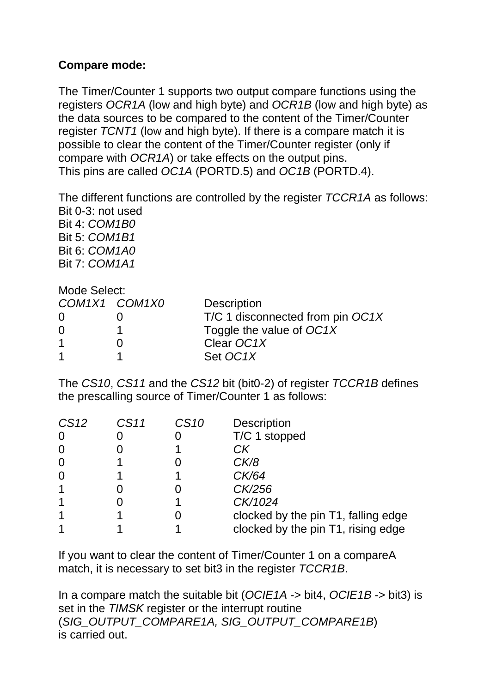#### **Compare mode:**

The Timer/Counter 1 supports two output compare functions using the registers OCR1A (low and high byte) and OCR1B (low and high byte) as the data sources to be compared to the content of the Timer/Counter register TCNT1 (low and high byte). If there is a compare match it is possible to clear the content of the Timer/Counter register (only if compare with OCR1A) or take effects on the output pins. This pins are called OC1A (PORTD.5) and OC1B (PORTD.4).

The different functions are controlled by the register TCCR1A as follows: Bit 0-3: not used Bit 4: COM1B0 Bit 5: COM1B1 Bit 6: COM1A0 Bit 7: COM1A1

Mode Select:

|          | COM1X1 COM1X0 | <b>Description</b>               |
|----------|---------------|----------------------------------|
| $\Omega$ |               | T/C 1 disconnected from pin OC1X |
| $\Omega$ |               | Toggle the value of OC1X         |
|          |               | Clear OC1X                       |
|          |               | Set OC1X                         |

The CS10, CS11 and the CS12 bit (bit0-2) of register TCCR1B defines the prescalling source of Timer/Counter 1 as follows:

| CS12           | CS11 | <b>CS10</b> | <b>Description</b>                  |
|----------------|------|-------------|-------------------------------------|
| $\overline{0}$ |      |             | T/C 1 stopped                       |
| $\overline{0}$ |      |             | СK                                  |
| $\overline{0}$ |      |             | CK/8                                |
| $\overline{0}$ |      |             | <b>CK/64</b>                        |
|                |      |             | CK/256                              |
|                |      |             | CK/1024                             |
|                |      |             | clocked by the pin T1, falling edge |
|                |      |             | clocked by the pin T1, rising edge  |

If you want to clear the content of Timer/Counter 1 on a compareA match, it is necessary to set bit3 in the register TCCR1B.

In a compare match the suitable bit (OCIE1A -> bit4, OCIE1B -> bit3) is set in the TIMSK register or the interrupt routine (SIG\_OUTPUT\_COMPARE1A, SIG\_OUTPUT\_COMPARE1B) is carried out.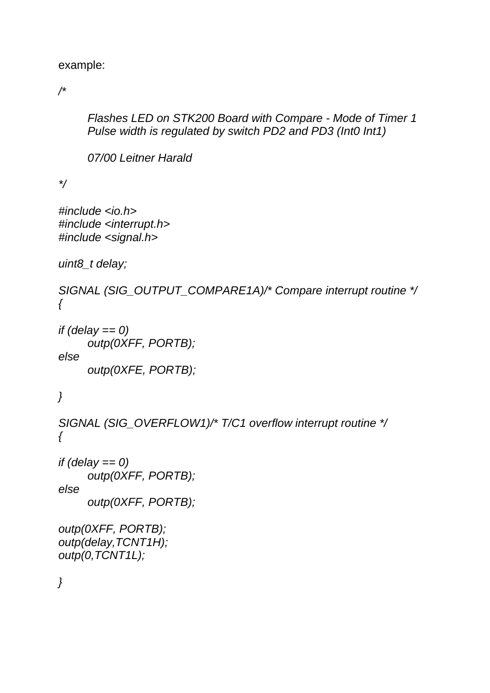example:

/\*

Flashes LED on STK200 Board with Compare - Mode of Timer 1 Pulse width is regulated by switch PD2 and PD3 (Int0 Int1)

07/00 Leitner Harald

\*/

#include <io.h> #include <interrupt.h> #include <signal.h>

uint8\_t delay;

```
SIGNAL (SIG_OUTPUT_COMPARE1A)/* Compare interrupt routine */
\left\{ \right.
```

```
if (delay == 0)outp(0XFF, PORTB);
else
     outp(0XFE, PORTB);
```
}

```
SIGNAL (SIG_OVERFLOW1)/* T/C1 overflow interrupt routine */
\{
```
if  $(delay == 0)$ outp(0XFF, PORTB); else outp(0XFF, PORTB);

```
outp(0XFF, PORTB);
outp(delay,TCNT1H);
outp(0,TCNT1L);
```
}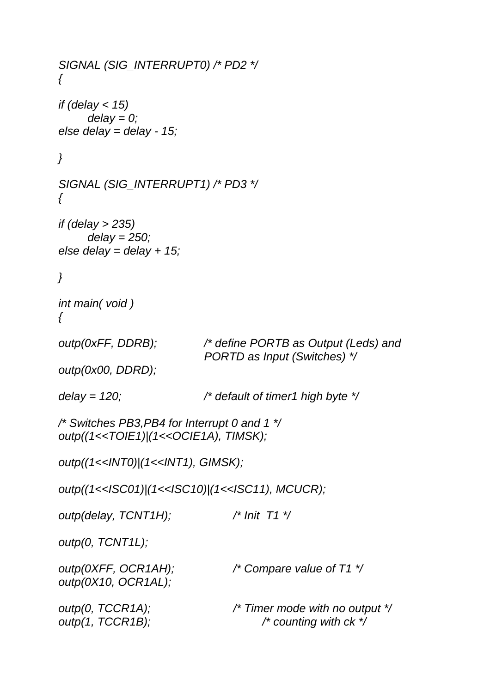```
SIGNAL (SIG_INTERRUPT0) /* PD2 */
\{if (delay < 15)
     delay = 0;
else delay = delay - 15;
}
SIGNAL (SIG_INTERRUPT1) /* PD3 */
\{if (delay > 235)
     delay = 250;
else delay = delay + 15;
}
int main( void )
\{outp(0xFF, DDRB); /* define PORTB as Output (Leds) and
                         PORTD as Input (Switches) */
outp(0x00, DDRD);
delay = 120; \frac{120}{5} /* default of timer1 high byte */
/* Switches PB3,PB4 for Interrupt 0 and 1 */
outp((1<<TOIE1)|(1<<OCIE1A), TIMSK);
outp((1<<INT0)|(1<<INT1), GIMSK);
outp((1<<ISC01)|(1<<ISC10)|(1<<ISC11), MCUCR);
outp(delay, TCNT1H); /* Init T1 */
outp(0, TCNT1L);
outp(0XFF, OCR1AH); /* Compare value of T1 */
outp(0X10, OCR1AL);
outp(0, TCCR1A); /* Timer mode with no output */
outp(1, TCCR1B); \sqrt{\alpha} counting with ck \gamma
```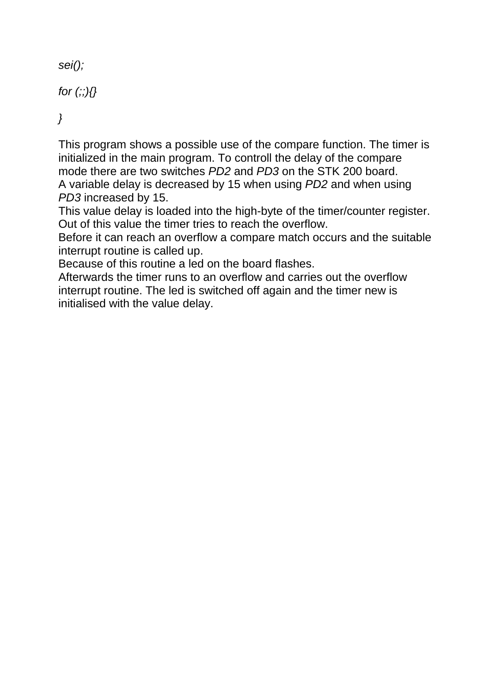sei();

for  $(j;)}\$ 

}

This program shows a possible use of the compare function. The timer is initialized in the main program. To controll the delay of the compare mode there are two switches PD2 and PD3 on the STK 200 board. A variable delay is decreased by 15 when using PD2 and when using PD3 increased by 15.

This value delay is loaded into the high-byte of the timer/counter register. Out of this value the timer tries to reach the overflow.

Before it can reach an overflow a compare match occurs and the suitable interrupt routine is called up.

Because of this routine a led on the board flashes.

Afterwards the timer runs to an overflow and carries out the overflow interrupt routine. The led is switched off again and the timer new is initialised with the value delay.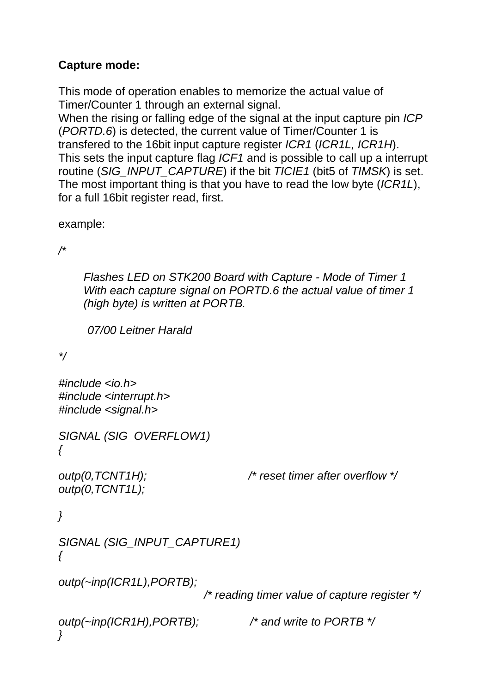## **Capture mode:**

This mode of operation enables to memorize the actual value of Timer/Counter 1 through an external signal.

When the rising or falling edge of the signal at the input capture pin *ICP* (PORTD.6) is detected, the current value of Timer/Counter 1 is transfered to the 16bit input capture register ICR1 (ICR1L, ICR1H). This sets the input capture flag *ICF1* and is possible to call up a interrupt routine (SIG\_INPUT\_CAPTURE) if the bit TICIE1 (bit5 of TIMSK) is set. The most important thing is that you have to read the low byte (ICR1L), for a full 16bit register read, first.

example:

/\*

}

```
Flashes LED on STK200 Board with Capture - Mode of Timer 1
    With each capture signal on PORTD.6 the actual value of timer 1
    (high byte) is written at PORTB.
     07/00 Leitner Harald
*/
#include <io.h>
#include <interrupt.h>
#include <signal.h>
SIGNAL (SIG_OVERFLOW1)
\{outp(0,TCNT1H); /* reset timer after overflow */
outp(0,TCNT1L);
}
SIGNAL (SIG_INPUT_CAPTURE1)
{
outp(~inp(ICR1L),PORTB);
                         /* reading timer value of capture register */
outp(~inp(ICR1H),PORTB); /* and write to PORTB */
```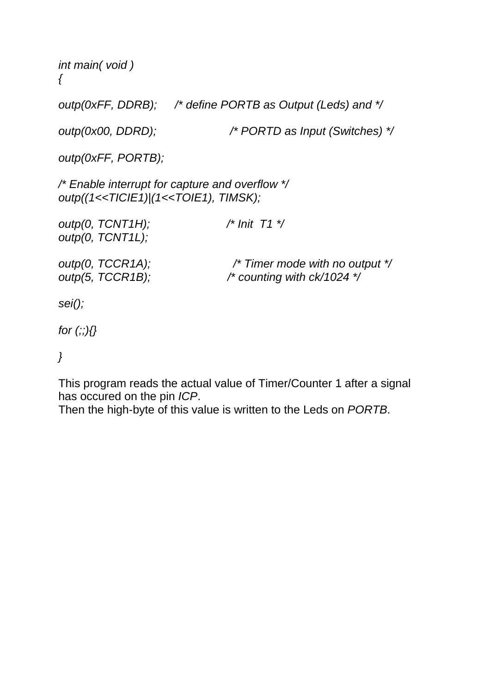int main( void )  $\{$ outp(0xFF, DDRB); /\* define PORTB as Output (Leds) and \*/ outp(0x00, DDRD); /\* PORTD as Input (Switches) \*/ outp(0xFF, PORTB); /\* Enable interrupt for capture and overflow \*/ outp((1<<TICIE1)|(1<<TOIE1), TIMSK); outp(0, TCNT1H); /\* Init T1 \*/ outp(0, TCNT1L); outp(0, TCCR1A); /\* Timer mode with no output \*/ outp(5, TCCR1B); /\* counting with ck/1024 \*/ sei(); for  $(:;){}$ 

}

This program reads the actual value of Timer/Counter 1 after a signal has occured on the pin ICP.

Then the high-byte of this value is written to the Leds on PORTB.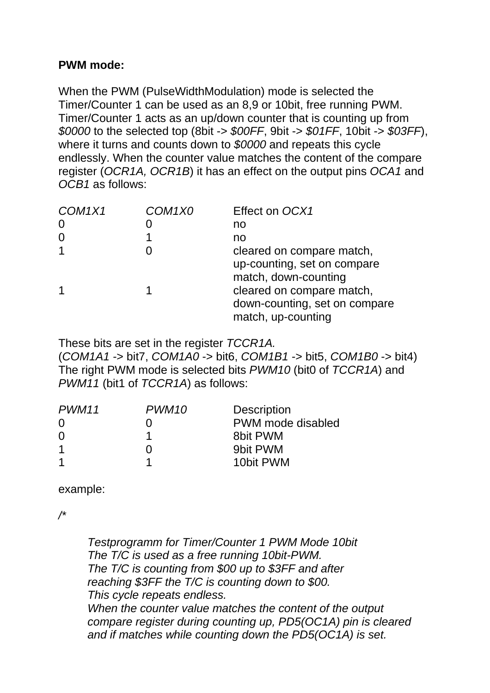### **PWM mode:**

When the PWM (PulseWidthModulation) mode is selected the Timer/Counter 1 can be used as an 8,9 or 10bit, free running PWM. Timer/Counter 1 acts as an up/down counter that is counting up from \$0000 to the selected top (8bit -> \$00FF, 9bit -> \$01FF, 10bit -> \$03FF), where it turns and counts down to \$0000 and repeats this cycle endlessly. When the counter value matches the content of the compare register (OCR1A, OCR1B) it has an effect on the output pins OCA1 and OCB1 as follows:

| COM <sub>1</sub> X <sub>1</sub> | COM <sub>1</sub> X <sub>0</sub> | Effect on OCX1                                                                   |
|---------------------------------|---------------------------------|----------------------------------------------------------------------------------|
| $\overline{0}$                  |                                 | no                                                                               |
| $\overline{0}$                  |                                 | no                                                                               |
| 1                               |                                 | cleared on compare match,<br>up-counting, set on compare<br>match, down-counting |
|                                 |                                 | cleared on compare match,<br>down-counting, set on compare<br>match, up-counting |

These bits are set in the register TCCR1A.

 $(COM1A1 \rightarrow \text{bit7}, COM1A0 \rightarrow \text{bit6}, COM1B1 \rightarrow \text{bit5}, COM1BO \rightarrow \text{bit4})$ The right PWM mode is selected bits PWM10 (bit0 of TCCR1A) and PWM11 (bit1 of TCCR1A) as follows:

| PWM11    | PWM <sub>10</sub> | <b>Description</b> |
|----------|-------------------|--------------------|
| $\Omega$ |                   | PWM mode disabled  |
| $\Omega$ |                   | 8bit PWM           |
|          | 0                 | 9bit PWM           |
|          |                   | 10bit PWM          |

example:

/\*

Testprogramm for Timer/Counter 1 PWM Mode 10bit The T/C is used as a free running 10bit-PWM. The T/C is counting from \$00 up to \$3FF and after reaching \$3FF the T/C is counting down to \$00. This cycle repeats endless. When the counter value matches the content of the output compare register during counting up, PD5(OC1A) pin is cleared and if matches while counting down the PD5(OC1A) is set.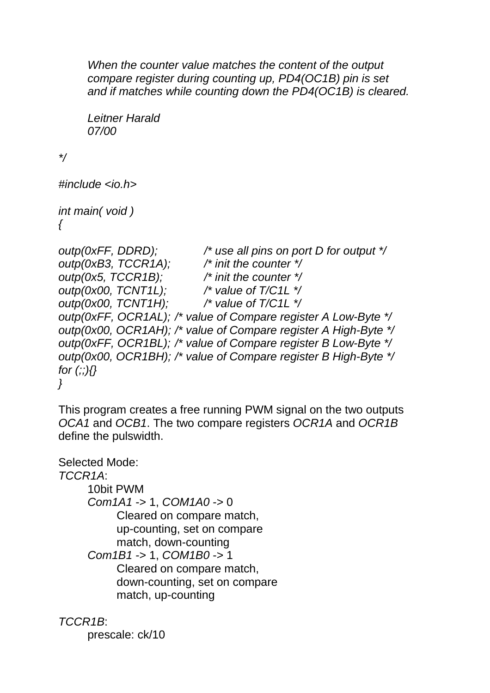```
When the counter value matches the content of the output
     compare register during counting up, PD4(OC1B) pin is set
     and if matches while counting down the PD4(OC1B) is cleared.
     Leitner Harald
     07/00
*/
\#include \ltio.h >int main( void )
\{outp(0xFF, DDRD); /* use all pins on port D for output */
outp(0xB3, TCCR1A); /* init the counter */
outp(0x5, TCCR1B); /* init the counter */
outp(0x00, TCNT1L); \frac{1}{2} /* value of T/C1L */
outp(0x00, TCNT1H); \frac{1}{2} /* value of T/C1L */
outp(0xFF, OCR1AL); /* value of Compare register A Low-Byte */
outp(0x00, OCR1AH); /* value of Compare register A High-Byte */
outp(0xFF, OCR1BL); /* value of Compare register B Low-Byte */
outp(0x00, OCR1BH); /* value of Compare register B High-Byte */
for (:) \}
```

```
}
```
This program creates a free running PWM signal on the two outputs OCA1 and OCB1. The two compare registers OCR1A and OCR1B define the pulswidth.

```
Selected Mode:
TCCR1A:
     10bit PWM
     Com1A1 -> 1, COM1A0 -> 0
          Cleared on compare match,
          up-counting, set on compare
          match, down-counting
     Com1B1 - > 1, COM1B0 - > 1Cleared on compare match,
          down-counting, set on compare
          match, up-counting
```
TCCR1B:

prescale: ck/10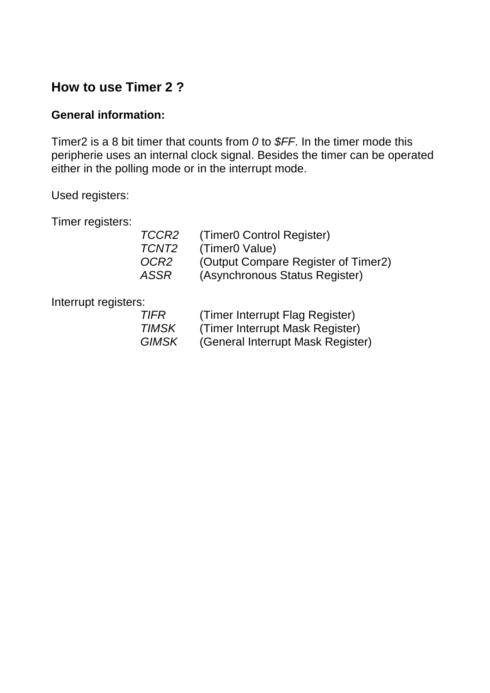## **How to use Timer 2 ?**

## **General information:**

Timer2 is a 8 bit timer that counts from  $0$  to \$FF. In the timer mode this peripherie uses an internal clock signal. Besides the timer can be operated either in the polling mode or in the interrupt mode.

Used registers:

Timer registers:

| TCCR2            | (Timer0 Control Register)           |
|------------------|-------------------------------------|
| TCNT2            | (Timer0 Value)                      |
| OCR <sub>2</sub> | (Output Compare Register of Timer2) |
| ASSR             | (Asynchronous Status Register)      |

Interrupt registers:

| TIFR         | (Timer Interrupt Flag Register)   |
|--------------|-----------------------------------|
| <b>TIMSK</b> | (Timer Interrupt Mask Register)   |
| GIMSK        | (General Interrupt Mask Register) |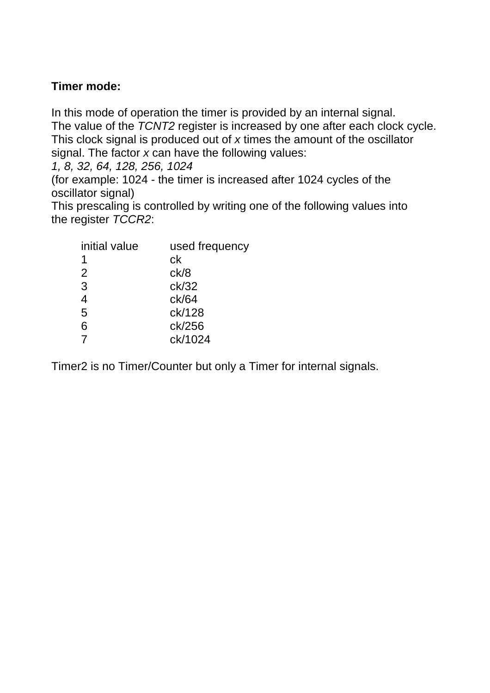## **Timer mode:**

In this mode of operation the timer is provided by an internal signal. The value of the TCNT2 register is increased by one after each clock cycle. This clock signal is produced out of x times the amount of the oscillator signal. The factor  $x$  can have the following values:

1, 8, 32, 64, 128, 256, 1024

(for example: 1024 - the timer is increased after 1024 cycles of the oscillator signal)

This prescaling is controlled by writing one of the following values into the register TCCR2:

| initial value  | used frequency |
|----------------|----------------|
| 1              | ck             |
| $\overline{2}$ | ck/8           |
| 3              | ck/32          |
| 4              | ck/64          |
| 5              | ck/128         |
| 6              | ck/256         |
|                | ck/1024        |
|                |                |

Timer2 is no Timer/Counter but only a Timer for internal signals.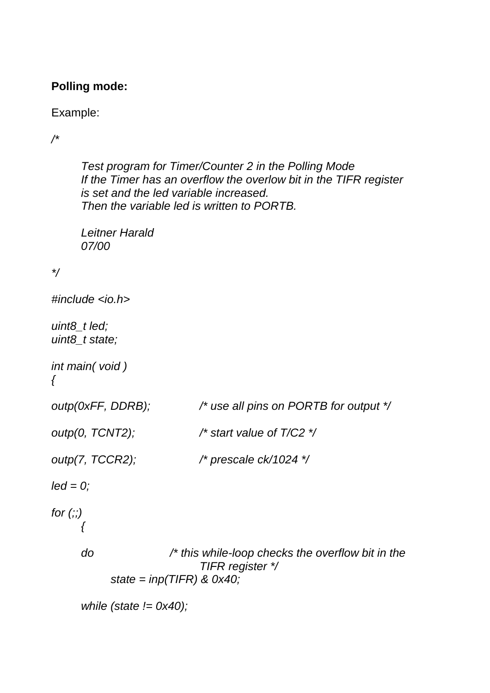## **Polling mode:**

Example:

/\*

```
Test program for Timer/Counter 2 in the Polling Mode
     If the Timer has an overflow the overlow bit in the TIFR register
      is set and the led variable increased.
      Then the variable led is written to PORTB.
     Leitner Harald
     07/00
*/
#include <io.h>
uint8_t led;
uint8_t state;
int main( void )
\{outp(0xFF, DDRB); /* use all pins on PORTB for output */
outp(0, TCNT2); \frac{1}{2} /* start value of T/C2 \frac{1}{2}outp(7, TCCR2); /* prescale ck/1024 */
led = 0;for (;;)
     \{do /* this while-loop checks the overflow bit in the
                            TIFR register */
           state = inp(TIFR) & 0x40;
      while (state != 0x40);
```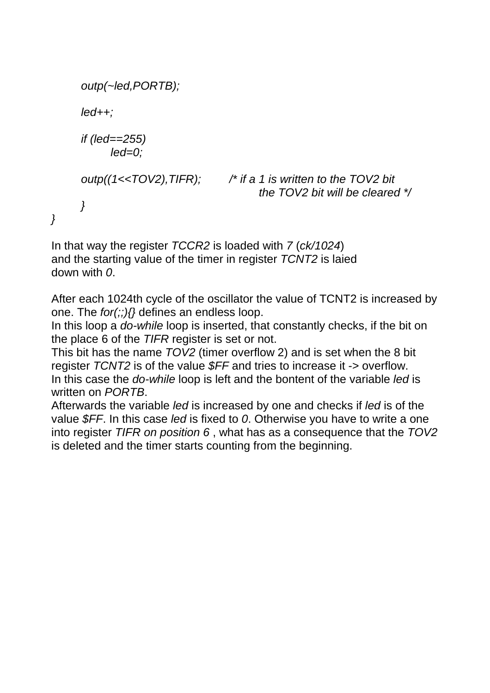```
outp(~led,PORTB);
      led++:
      if (led==255)
           led=0:
     outp((1\llTOV2),TIFR); /* if a 1 is written to the TOV2 bit
                                        the TOV2 bit will be cleared */
     }
}
```
In that way the register  $TCCR2$  is loaded with  $7 (ck/1024)$ and the starting value of the timer in register TCNT2 is laied down with  $\Omega$ .

After each 1024th cycle of the oscillator the value of TCNT2 is increased by one. The  $for(:,)$  defines an endless loop.

In this loop a *do-while* loop is inserted, that constantly checks, if the bit on the place 6 of the TIFR register is set or not.

This bit has the name TOV2 (timer overflow 2) and is set when the 8 bit register TCNT2 is of the value \$FF and tries to increase it -> overflow. In this case the do-while loop is left and the bontent of the variable led is written on PORTB.

Afterwards the variable led is increased by one and checks if led is of the value \$FF. In this case led is fixed to 0. Otherwise you have to write a one into register TIFR on position 6 , what has as a consequence that the TOV2 is deleted and the timer starts counting from the beginning.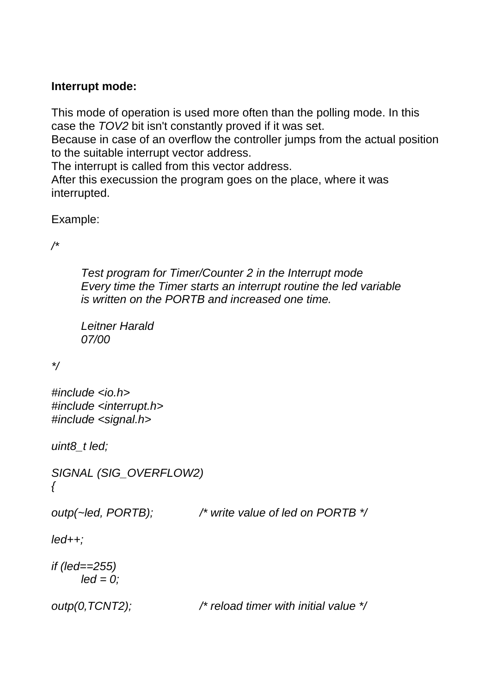#### **Interrupt mode:**

This mode of operation is used more often than the polling mode. In this case the TOV2 bit isn't constantly proved if it was set.

Because in case of an overflow the controller jumps from the actual position to the suitable interrupt vector address.

The interrupt is called from this vector address.

After this execussion the program goes on the place, where it was interrupted.

Example:

/\*

Test program for Timer/Counter 2 in the Interrupt mode Every time the Timer starts an interrupt routine the led variable is written on the PORTB and increased one time.

Leitner Harald 07/00

\*/

 $\#$ include  $\lt$ io.h #include <interrupt.h> #include <signal.h>

uint<sub>8</sub> t led;

```
SIGNAL (SIG_OVERFLOW2)
{
```
outp(~led, PORTB); /\* write value of led on PORTB \*/

 $led++;$ 

if (led==255)  $led = 0;$ 

outp(0,TCNT2); /\* reload timer with initial value \*/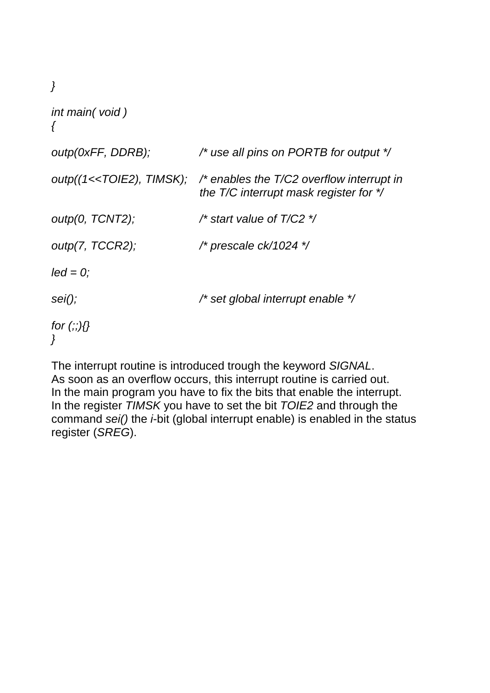}

```
int main( void )
{
outp(0xFF, DDRB); /* use all pins on PORTB for output */
outp((1<<TOIE2), TIMSK); /* enables the T/C2 overflow interrupt in
                         the T/C interrupt mask register for */
outp(0, TCNT2); /* start value of T/C2 */
outp(7, TCCR2); /* prescale ck/1024 */
\text{led} = 0;
sei(); set global interrupt enable */
for (j) {}
}
```
The interrupt routine is introduced trough the keyword SIGNAL. As soon as an overflow occurs, this interrupt routine is carried out. In the main program you have to fix the bits that enable the interrupt. In the register TIMSK you have to set the bit TOIE2 and through the command sei() the *i*-bit (global interrupt enable) is enabled in the status register (SREG).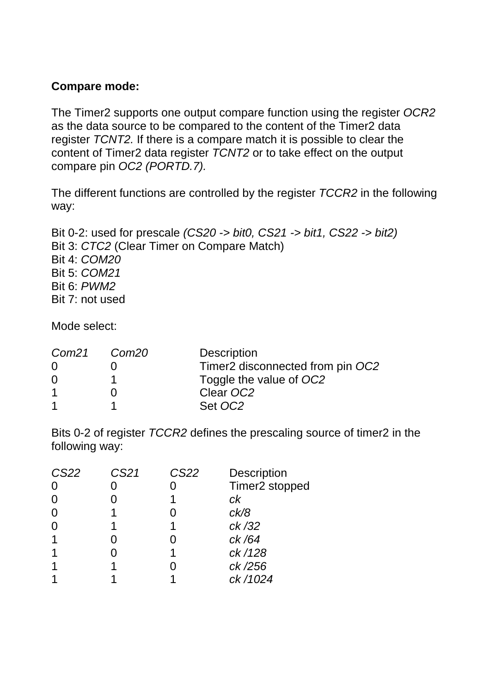#### **Compare mode:**

The Timer2 supports one output compare function using the register OCR2 as the data source to be compared to the content of the Timer2 data register TCNT2. If there is a compare match it is possible to clear the content of Timer2 data register TCNT2 or to take effect on the output compare pin OC2 (PORTD.7).

The different functions are controlled by the register TCCR2 in the following way:

Bit 0-2: used for prescale (CS20 -> bit0, CS21 -> bit1, CS22 -> bit2) Bit 3: CTC2 (Clear Timer on Compare Match) Bit 4: COM20 Bit 5: COM21 Bit 6: PWM2 Bit 7: not used

Mode select:

| Com21    | Com20 | <b>Description</b>                                       |
|----------|-------|----------------------------------------------------------|
| $\Omega$ |       | Timer <sub>2</sub> disconnected from pin OC <sub>2</sub> |
| $\Omega$ |       | Toggle the value of OC2                                  |
| 1        |       | Clear OC <sub>2</sub>                                    |
| -1       |       | Set OC <sub>2</sub>                                      |

Bits 0-2 of register TCCR2 defines the prescaling source of timer2 in the following way:

| <b>CS22</b> | CS21 | <b>CS22</b> | <b>Description</b> |
|-------------|------|-------------|--------------------|
| 0           |      |             | Timer2 stopped     |
| 0           |      |             | ck                 |
| $\Omega$    |      |             | ck/8               |
| 0           |      |             | ck /32             |
|             |      |             | ck /64             |
|             |      |             | ck /128            |
|             |      |             | ck /256            |
|             |      |             | ck /1024           |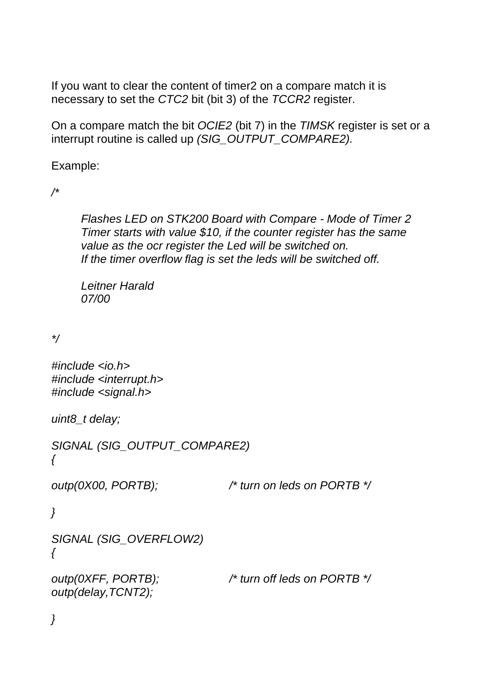If you want to clear the content of timer2 on a compare match it is necessary to set the CTC2 bit (bit 3) of the TCCR2 register.

On a compare match the bit OCIE2 (bit 7) in the TIMSK register is set or a interrupt routine is called up (SIG\_OUTPUT\_COMPARE2).

Example:

/\*

Flashes LED on STK200 Board with Compare - Mode of Timer 2 Timer starts with value \$10, if the counter register has the same value as the ocr register the Led will be switched on. If the timer overflow flag is set the leds will be switched off.

Leitner Harald 07/00

\*/

 $\#$ include <io.h> #include <interrupt.h> #include <signal.h>

uint8\_t delay;

```
SIGNAL (SIG_OUTPUT_COMPARE2)
\{
```
outp(0X00, PORTB); /\* turn on leds on PORTB \*/

}

```
SIGNAL (SIG_OVERFLOW2)
\{
```
outp(0XFF, PORTB); /\* turn off leds on PORTB \*/ outp(delay,TCNT2);

}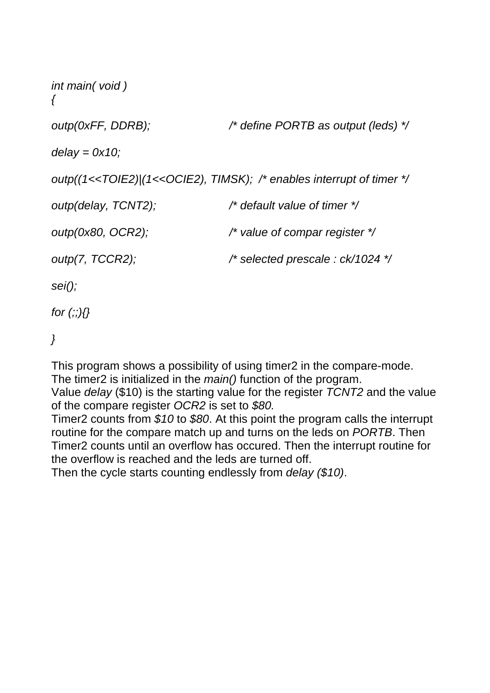```
int main( void )
\{outp(0xFF, DDRB); /* define PORTB as output (leds) */
delay = 0x10;
outp((1<<TOIE2)|(1<<OCIE2), TIMSK); /* enables interrupt of timer */
outp(delay, TCNT2); /* default value of timer */
outp(0x80, OCR2); /* value of compar register */
outp(7, TCCR2); /* selected prescale : ck/1024 */
sei();
for (:,')\}
```
}

This program shows a possibility of using timer2 in the compare-mode. The timer2 is initialized in the *main()* function of the program.

Value delay (\$10) is the starting value for the register TCNT2 and the value of the compare register OCR2 is set to \$80.

Timer2 counts from \$10 to \$80. At this point the program calls the interrupt routine for the compare match up and turns on the leds on PORTB. Then Timer2 counts until an overflow has occured. Then the interrupt routine for the overflow is reached and the leds are turned off.

Then the cycle starts counting endlessly from delay (\$10).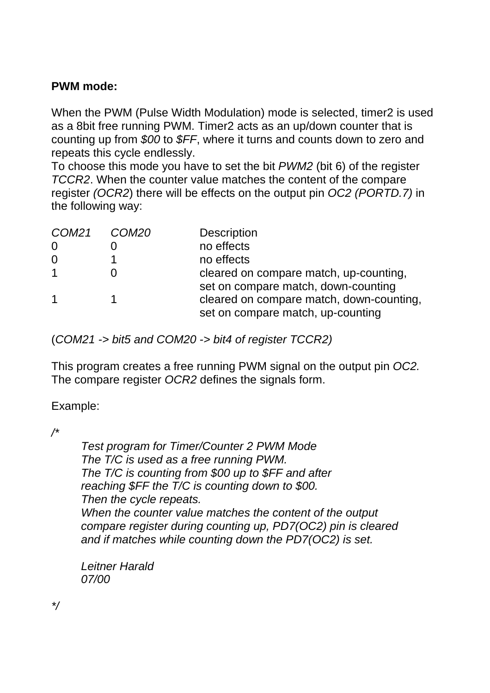### **PWM mode:**

When the PWM (Pulse Width Modulation) mode is selected, timer2 is used as a 8bit free running PWM. Timer2 acts as an up/down counter that is counting up from \$00 to \$FF, where it turns and counts down to zero and repeats this cycle endlessly.

To choose this mode you have to set the bit PWM2 (bit 6) of the register TCCR2. When the counter value matches the content of the compare register (OCR2) there will be effects on the output pin OC2 (PORTD.7) in the following way:

| COM <sub>21</sub> | COM <sub>20</sub> | <b>Description</b>                       |
|-------------------|-------------------|------------------------------------------|
| $\overline{0}$    |                   | no effects                               |
| $\Omega$          |                   | no effects                               |
|                   |                   | cleared on compare match, up-counting,   |
|                   |                   | set on compare match, down-counting      |
|                   |                   | cleared on compare match, down-counting, |
|                   |                   | set on compare match, up-counting        |

(COM21 -> bit5 and COM20 -> bit4 of register TCCR2)

This program creates a free running PWM signal on the output pin OC2. The compare register OCR2 defines the signals form.

Example:

/\*

Test program for Timer/Counter 2 PWM Mode The T/C is used as a free running PWM. The T/C is counting from \$00 up to \$FF and after reaching \$FF the T/C is counting down to \$00. Then the cycle repeats. When the counter value matches the content of the output compare register during counting up, PD7(OC2) pin is cleared and if matches while counting down the PD7(OC2) is set.

Leitner Harald 07/00

\*/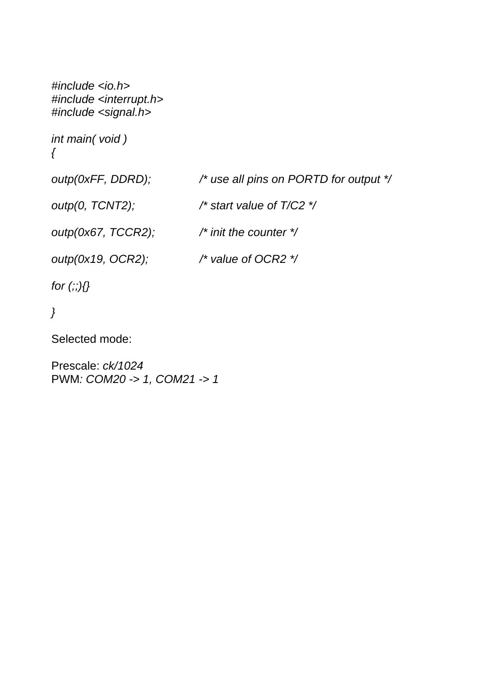$\#include$ clude <io.h> #include <interrupt.h> #include <signal.h> int main( void )  $\{$ outp(0xFF, DDRD); /\* use all pins on PORTD for output \*/ outp(0, TCNT2);  $\sqrt{s}$  start value of T/C2  $\gamma$ outp(0x67, TCCR2); /\* init the counter \*/ outp(0x19, OCR2); /\* value of OCR2 \*/ for  $($ ;;) $\{\}$ 

}

Selected mode:

Prescale: ck/1024 PWM: COM20 -> 1, COM21 -> 1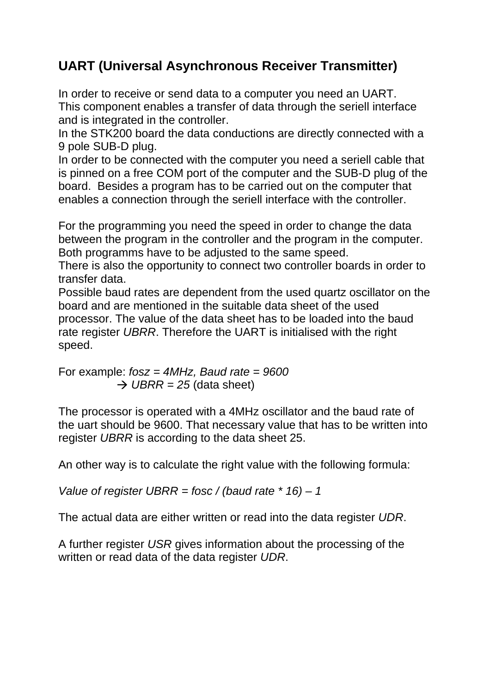# **UART (Universal Asynchronous Receiver Transmitter)**

In order to receive or send data to a computer you need an UART. This component enables a transfer of data through the seriell interface and is integrated in the controller.

In the STK200 board the data conductions are directly connected with a 9 pole SUB-D plug.

In order to be connected with the computer you need a seriell cable that is pinned on a free COM port of the computer and the SUB-D plug of the board. Besides a program has to be carried out on the computer that enables a connection through the seriell interface with the controller.

For the programming you need the speed in order to change the data between the program in the controller and the program in the computer. Both programms have to be adjusted to the same speed.

There is also the opportunity to connect two controller boards in order to transfer data.

Possible baud rates are dependent from the used quartz oscillator on the board and are mentioned in the suitable data sheet of the used processor. The value of the data sheet has to be loaded into the baud rate register UBRR. Therefore the UART is initialised with the right speed.

For example:  $f$ osz = 4MHz, Baud rate = 9600  $\rightarrow$  UBRR = 25 (data sheet)

The processor is operated with a 4MHz oscillator and the baud rate of the uart should be 9600. That necessary value that has to be written into register UBRR is according to the data sheet 25.

An other way is to calculate the right value with the following formula:

Value of register UBRR = fosc / (baud rate  $*$  16) – 1

The actual data are either written or read into the data register UDR.

A further register USR gives information about the processing of the written or read data of the data register UDR.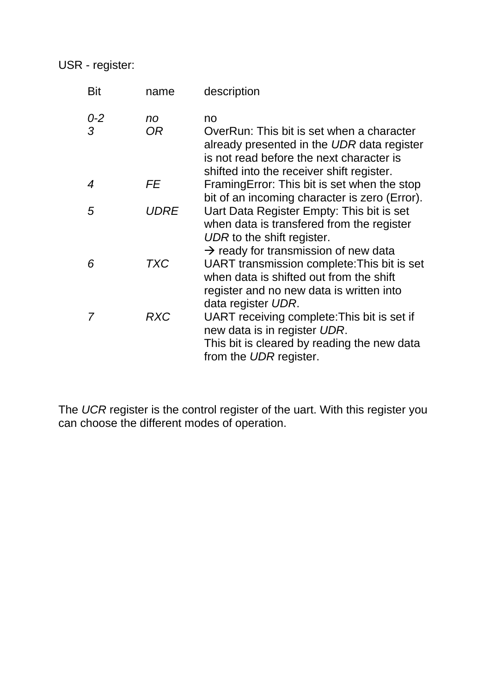USR - register:

| Bit          | name       | description                                                                                                                                                                            |
|--------------|------------|----------------------------------------------------------------------------------------------------------------------------------------------------------------------------------------|
| $0 - 2$<br>3 | no<br>ΟR   | no<br>OverRun: This bit is set when a character<br>already presented in the UDR data register<br>is not read before the next character is<br>shifted into the receiver shift register. |
| 4            | FE         | Framing Error: This bit is set when the stop<br>bit of an incoming character is zero (Error).                                                                                          |
| 5            | UDRE       | Uart Data Register Empty: This bit is set<br>when data is transfered from the register<br>UDR to the shift register.<br>$\rightarrow$ ready for transmission of new data               |
| 6            | <b>TXC</b> | UART transmission complete: This bit is set<br>when data is shifted out from the shift<br>register and no new data is written into<br>data register UDR.                               |
| 7            | <b>RXC</b> | UART receiving complete: This bit is set if<br>new data is in register UDR.<br>This bit is cleared by reading the new data<br>from the UDR register.                                   |

The UCR register is the control register of the uart. With this register you can choose the different modes of operation.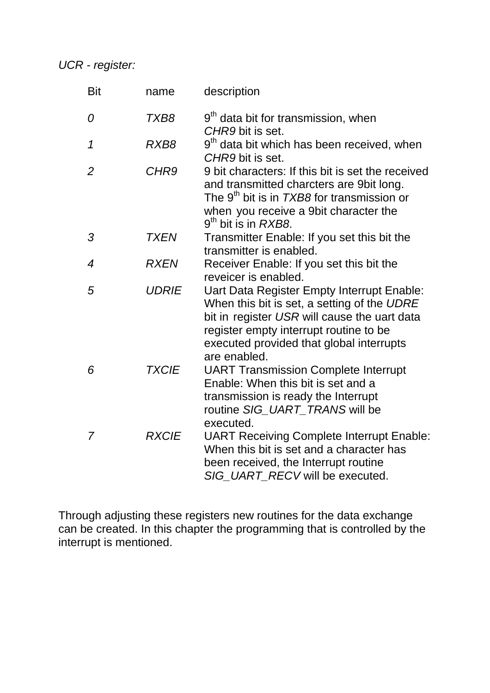UCR - register:

| <b>Bit</b>       | name             | description                                                                                                                                                                                                                                     |
|------------------|------------------|-------------------------------------------------------------------------------------------------------------------------------------------------------------------------------------------------------------------------------------------------|
| 0                | TXB8             | 9 <sup>th</sup> data bit for transmission, when<br>CHR9 bit is set.                                                                                                                                                                             |
| 1                | RXB8             | 9 <sup>th</sup> data bit which has been received, when<br>CHR9 bit is set.                                                                                                                                                                      |
| $\overline{2}$   | CHR <sub>9</sub> | 9 bit characters: If this bit is set the received<br>and transmitted charcters are 9bit long.<br>The $9th$ bit is in <i>TXB8</i> for transmission or<br>when you receive a 9bit character the<br>$9th$ bit is in RXB8.                          |
| 3                | <b>TXEN</b>      | Transmitter Enable: If you set this bit the<br>transmitter is enabled.                                                                                                                                                                          |
| $\boldsymbol{4}$ | <b>RXEN</b>      | Receiver Enable: If you set this bit the<br>reveicer is enabled.                                                                                                                                                                                |
| 5                | <b>UDRIE</b>     | Uart Data Register Empty Interrupt Enable:<br>When this bit is set, a setting of the UDRE<br>bit in register USR will cause the uart data<br>register empty interrupt routine to be<br>executed provided that global interrupts<br>are enabled. |
| 6                | <b>TXCIE</b>     | <b>UART Transmission Complete Interrupt</b><br>Enable: When this bit is set and a<br>transmission is ready the Interrupt<br>routine SIG_UART_TRANS will be<br>executed.                                                                         |
| $\overline{7}$   | <b>RXCIE</b>     | <b>UART Receiving Complete Interrupt Enable:</b><br>When this bit is set and a character has<br>been received, the Interrupt routine<br>SIG_UART_RECV will be executed.                                                                         |

Through adjusting these registers new routines for the data exchange can be created. In this chapter the programming that is controlled by the interrupt is mentioned.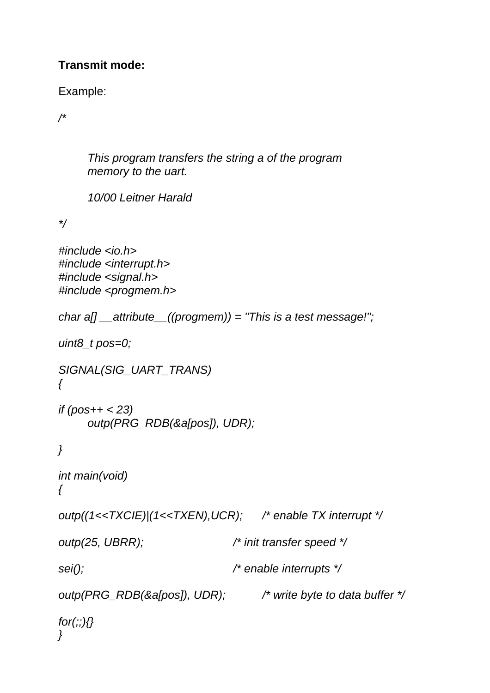## **Transmit mode:**

Example:

/\*

```
This program transfers the string a of the program
       memory to the uart.
        10/00 Leitner Harald
*/
#include <io.h>
#include <interrupt.h>
#include <signal.h>
#include <progmem.h>
char a[] __attribute__((progmem)) = "This is a test message!";
uint8_t pos=0;
SIGNAL(SIG_UART_TRANS)
\{if (pos++ < 23)
       outp(PRG_RDB(&a[pos]), UDR);
}
int main(void)
\{outp((1<<TXCIE)|(1<<TXEN),UCR); /* enable TX interrupt */
outp(25, UBRR); /* init transfer speed */
sei(); \overline{z} sei(); \overline{z} and \overline{z} and \overline{z} and \overline{z} and \overline{z} and \overline{z} and \overline{z} and \overline{z} and \overline{z} and \overline{z} and \overline{z} and \overline{z} and \overline{z} and \overline{z} and \overline{z} and \overlineoutp(PRG_RDB(&a[pos]), UDR); /* write byte to data buffer */
for(:,)}
```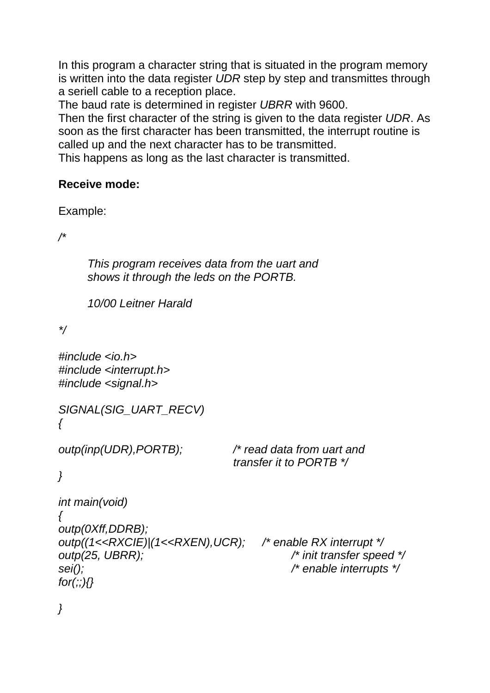In this program a character string that is situated in the program memory is written into the data register UDR step by step and transmittes through a seriell cable to a reception place.

The baud rate is determined in register UBRR with 9600.

Then the first character of the string is given to the data register UDR. As soon as the first character has been transmitted, the interrupt routine is called up and the next character has to be transmitted.

This happens as long as the last character is transmitted.

### **Receive mode:**

Example:

/\*

This program receives data from the uart and shows it through the leds on the PORTB.

10/00 Leitner Harald

\*/

```
\#include \ltio.h>#include <interrupt.h>
#include <signal.h>
SIGNAL(SIG_UART_RECV)
\{outp(inp(UDR),PORTB); /* read data from uart and
                                             transfer it to PORTB */
}
int main(void)
\{outp(0Xff,DDRB);
outp((1<<RXCIE)|(1<<RXEN),UCR); /* enable RX interrupt */
outp(25, UBRR); \sqrt{\frac{25}{1}} outp(25, UBRR);
sei(); \frac{1}{2} sei(); \frac{1}{2} sei(); \frac{1}{2} sei(); \frac{1}{2} sei(); \frac{1}{2} setimal setimal setimal setimal setimal setimal setimal setimal setimal setimal setimal setimal setimal setimal setimal setimal setimal s
for(:,)
```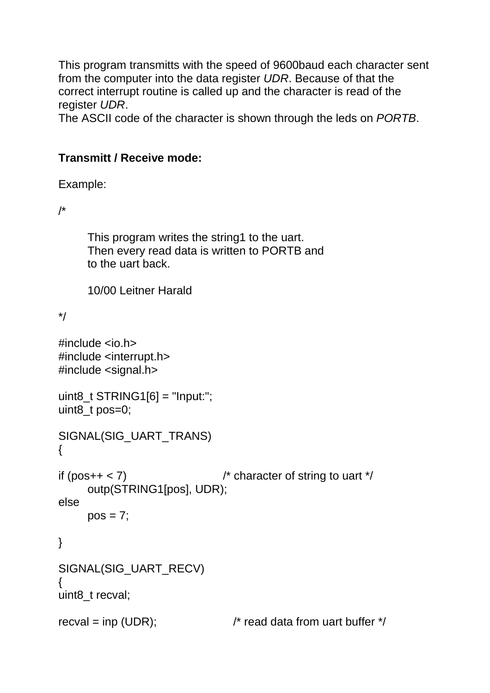This program transmitts with the speed of 9600baud each character sent from the computer into the data register UDR. Because of that the correct interrupt routine is called up and the character is read of the register UDR.

The ASCII code of the character is shown through the leds on PORTB.

### **Transmitt / Receive mode:**

Example:

/\*

This program writes the string1 to the uart. Then every read data is written to PORTB and to the uart back.

10/00 Leitner Harald

\*/

```
#include <io.h>
#include <interrupt.h>
#include <signal.h>
uint8_t STRING1[6] = "Input:";
uint8 t pos=0;
SIGNAL(SIG_UART_TRANS)
{
if (pos++ < 7) /* character of string to uart */
     outp(STRING1[pos], UDR);
else
     pos = 7;
}
SIGNAL(SIG_UART_RECV)
{
uint8_t recval;
recval = inp (UDR); \frac{1}{2} /* read data from uart buffer */
```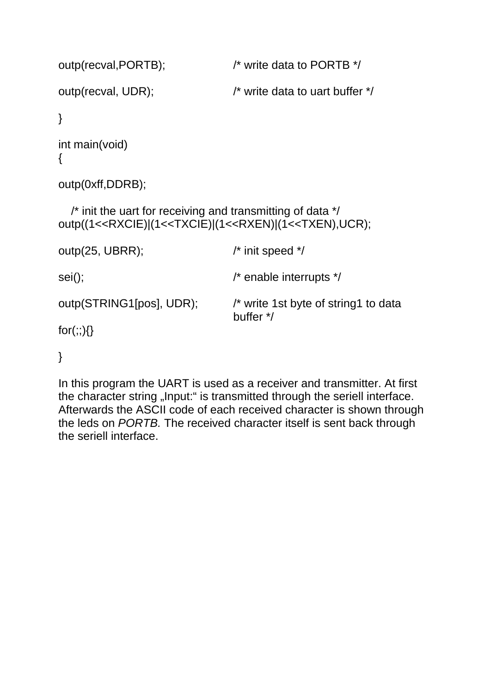```
outp(recval,PORTB); /* write data to PORTB */
outp(recval, UDR); /* write data to uart buffer */
}
int main(void)
{
outp(0xff,DDRB);
   /* init the uart for receiving and transmitting of data */
outp((1<<RXCIE)|(1<<TXCIE)|(1<<RXEN)|(1<<TXEN),UCR);
outp(25, UBRR); /* init speed */
sei(); \sqrt{ } enable interrupts \frac{*}{ }outp(STRING1[pos], UDR); /* write 1st byte of string1 to data
                              buffer */
for(:;){}
```
}

In this program the UART is used as a receiver and transmitter. At first the character string "Input:" is transmitted through the seriell interface. Afterwards the ASCII code of each received character is shown through the leds on PORTB. The received character itself is sent back through the seriell interface.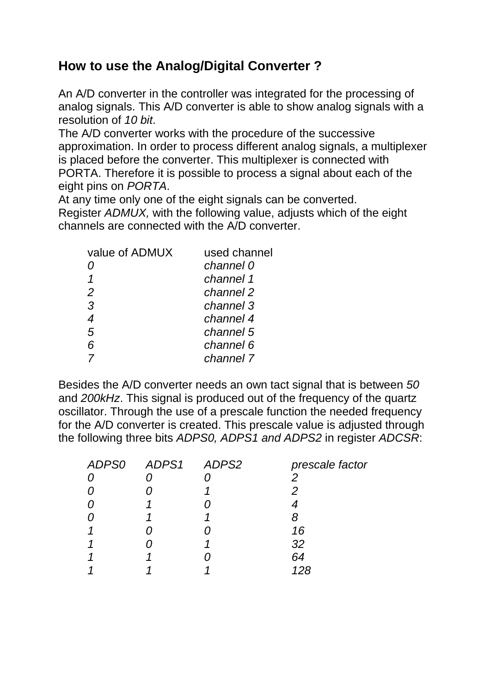## **How to use the Analog/Digital Converter ?**

An A/D converter in the controller was integrated for the processing of analog signals. This A/D converter is able to show analog signals with a resolution of 10 bit.

The A/D converter works with the procedure of the successive approximation. In order to process different analog signals, a multiplexer is placed before the converter. This multiplexer is connected with PORTA. Therefore it is possible to process a signal about each of the eight pins on PORTA.

At any time only one of the eight signals can be converted. Register ADMUX, with the following value, adjusts which of the eight channels are connected with the A/D converter.

| value of ADMUX | used channel |
|----------------|--------------|
| 0              | channel 0    |
| 1              | channel 1    |
| $\overline{2}$ | channel 2    |
| 3              | channel 3    |
| 4              | channel 4    |
| 5              | channel 5    |
| 6              | channel 6    |
|                | channel 7    |

Besides the A/D converter needs an own tact signal that is between 50 and 200kHz. This signal is produced out of the frequency of the quartz oscillator. Through the use of a prescale function the needed frequency for the A/D converter is created. This prescale value is adjusted through the following three bits ADPS0, ADPS1 and ADPS2 in register ADCSR:

|  | prescale factor   |
|--|-------------------|
|  |                   |
|  |                   |
|  |                   |
|  |                   |
|  | 16                |
|  | 32                |
|  | 64                |
|  | 128               |
|  | ADPS0 ADPS1 ADPS2 |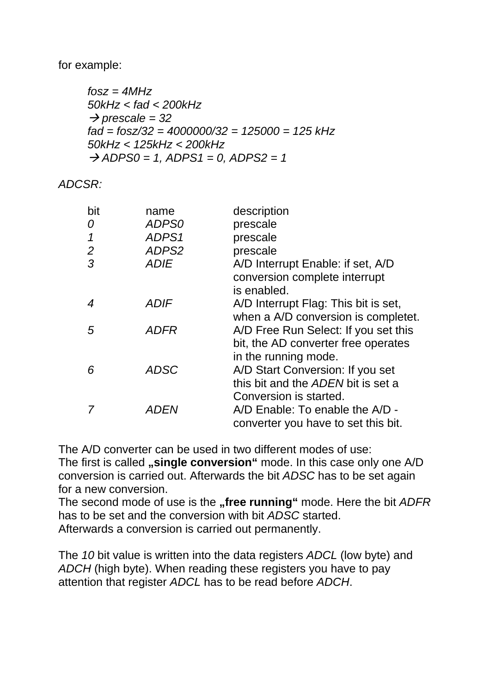for example:

```
fosz = 4MHz
50
kHz < fad < 200kHz
\rightarrow prescale = 32
fad = fosz/32 = 4000000/32 = 125000 = 125 kHz
50
kHz < 125kHz < 200kHz
\rightarrow ADPS0 = 1, ADPS1 = 0, ADPS2 = 1
```
ADCSR:

| bit | name              | description                          |
|-----|-------------------|--------------------------------------|
| 0   | ADPS0             | prescale                             |
|     | ADPS1             | prescale                             |
| 2   | ADPS <sub>2</sub> | prescale                             |
| 3   | <b>ADIE</b>       | A/D Interrupt Enable: if set, A/D    |
|     |                   | conversion complete interrupt        |
|     |                   | is enabled.                          |
|     | <b>ADIF</b>       | A/D Interrupt Flag: This bit is set, |
|     |                   | when a A/D conversion is completet.  |
| 5   | <b>ADFR</b>       | A/D Free Run Select: If you set this |
|     |                   | bit, the AD converter free operates  |
|     |                   | in the running mode.                 |
| 6   | <b>ADSC</b>       | A/D Start Conversion: If you set     |
|     |                   | this bit and the ADEN bit is set a   |
|     |                   | Conversion is started.               |
|     | <i>ADEN</i>       | A/D Enable: To enable the A/D -      |
|     |                   | converter you have to set this bit.  |

The A/D converter can be used in two different modes of use: The first is called **"single conversion**" mode. In this case only one A/D conversion is carried out. Afterwards the bit ADSC has to be set again for a new conversion.

The second mode of use is the "free running" mode. Here the bit ADFR has to be set and the conversion with bit ADSC started. Afterwards a conversion is carried out permanently.

The 10 bit value is written into the data registers ADCL (low byte) and ADCH (high byte). When reading these registers you have to pay attention that register ADCL has to be read before ADCH.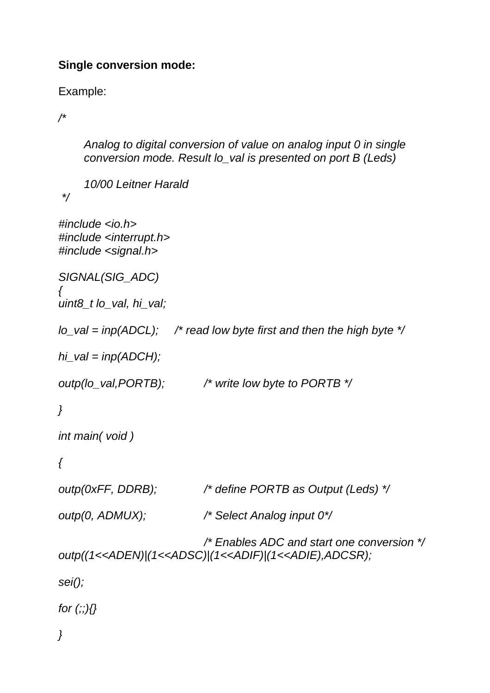## **Single conversion mode:**

Example:

/\*

 Analog to digital conversion of value on analog input 0 in single conversion mode. Result lo val is presented on port B (Leds)

 10/00 Leitner Harald \*/  $\#$ include <io.h #include <interrupt.h> #include <signal.h> SIGNAL(SIG\_ADC)  $\{$ uint8\_t lo\_val, hi\_val; lo\_val = inp(ADCL); /\* read low byte first and then the high byte  $\frac{*}{ }$ hi val = inp(ADCH); outp(lo\_val,PORTB); /\* write low byte to PORTB \*/ } int main( void )  $\{$ outp(0xFF, DDRB); /\* define PORTB as Output (Leds) \*/ outp(0, ADMUX); /\* Select Analog input 0\*/ /\* Enables ADC and start one conversion \*/ outp((1<<ADEN)|(1<<ADSC)|(1<<ADIF)|(1<<ADIE),ADCSR); sei(); for  $(:)$   $\}$ }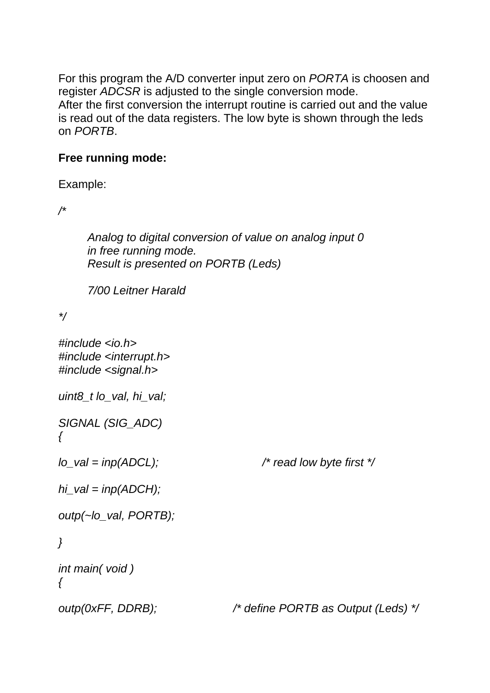For this program the A/D converter input zero on PORTA is choosen and register ADCSR is adjusted to the single conversion mode.

After the first conversion the interrupt routine is carried out and the value is read out of the data registers. The low byte is shown through the leds on PORTB.

### **Free running mode:**

Example:

/\*

 Analog to digital conversion of value on analog input 0 in free running mode. Result is presented on PORTB (Leds)

7/00 Leitner Harald

\*/

```
\#include <io.h>
#include <interrupt.h>
#include <signal.h>
uint8_t lo_val, hi_val;
SIGNAL (SIG_ADC)
{
\log \text{val} = \text{inp}(\text{ADCL}); /* read low byte first */
hi\_val = inp(ADCH);outp(~lo_val, PORTB);
}
int main( void )
\{outp(0xFF, DDRB); /* define PORTB as Output (Leds) */
```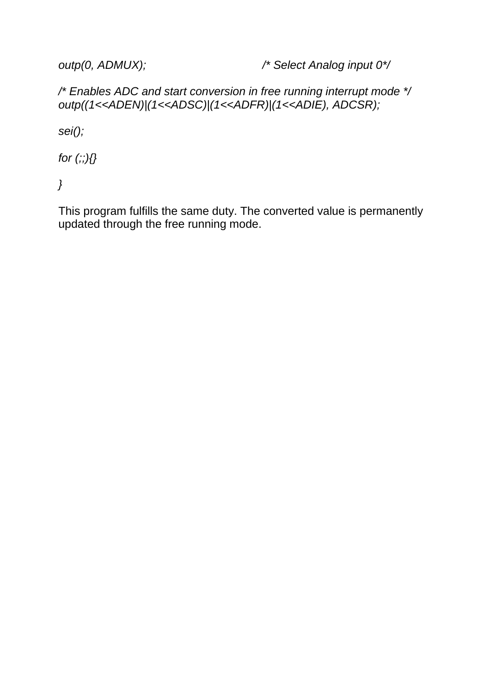outp(0, ADMUX); /\* Select Analog input 0\*/

/\* Enables ADC and start conversion in free running interrupt mode \*/ outp((1<<ADEN)|(1<<ADSC)|(1<<ADFR)|(1<<ADIE), ADCSR);

sei();

for  $(:)$   $\{\}$ 

}

This program fulfills the same duty. The converted value is permanently updated through the free running mode.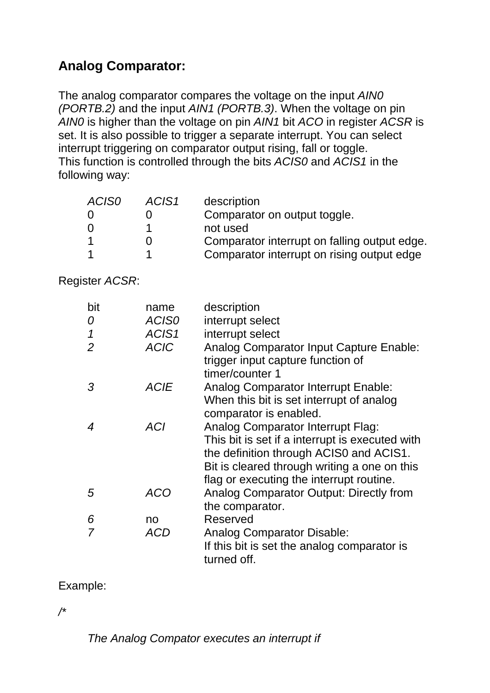# **Analog Comparator:**

The analog comparator compares the voltage on the input AINO (PORTB.2) and the input AIN1 (PORTB.3). When the voltage on pin AINO is higher than the voltage on pin AIN1 bit ACO in register ACSR is set. It is also possible to trigger a separate interrupt. You can select interrupt triggering on comparator output rising, fall or toggle. This function is controlled through the bits ACIS0 and ACIS1 in the following way:

| <i>ACISO</i> | ACIS1 | description                                  |
|--------------|-------|----------------------------------------------|
| 0            |       | Comparator on output toggle.                 |
| 0            |       | not used                                     |
|              |       | Comparator interrupt on falling output edge. |
|              |       | Comparator interrupt on rising output edge   |

Register ACSR:

| bit              | name              | description                                                                                                                                                                                                                        |
|------------------|-------------------|------------------------------------------------------------------------------------------------------------------------------------------------------------------------------------------------------------------------------------|
| 0                | ACIS <sub>0</sub> | interrupt select                                                                                                                                                                                                                   |
| $\mathcal I$     | ACIS1             | interrupt select                                                                                                                                                                                                                   |
| $\overline{2}$   | <b>ACIC</b>       | Analog Comparator Input Capture Enable:<br>trigger input capture function of<br>timer/counter 1                                                                                                                                    |
| 3                | <b>ACIE</b>       | <b>Analog Comparator Interrupt Enable:</b><br>When this bit is set interrupt of analog<br>comparator is enabled.                                                                                                                   |
| $\boldsymbol{4}$ | <b>ACI</b>        | <b>Analog Comparator Interrupt Flag:</b><br>This bit is set if a interrupt is executed with<br>the definition through ACIS0 and ACIS1.<br>Bit is cleared through writing a one on this<br>flag or executing the interrupt routine. |
| 5                | <b>ACO</b>        | Analog Comparator Output: Directly from<br>the comparator.                                                                                                                                                                         |
| 6                | no                | Reserved                                                                                                                                                                                                                           |
| $\overline{7}$   | ACD               | <b>Analog Comparator Disable:</b><br>If this bit is set the analog comparator is<br>turned off.                                                                                                                                    |

#### Example:

/\*

The Analog Compator executes an interrupt if